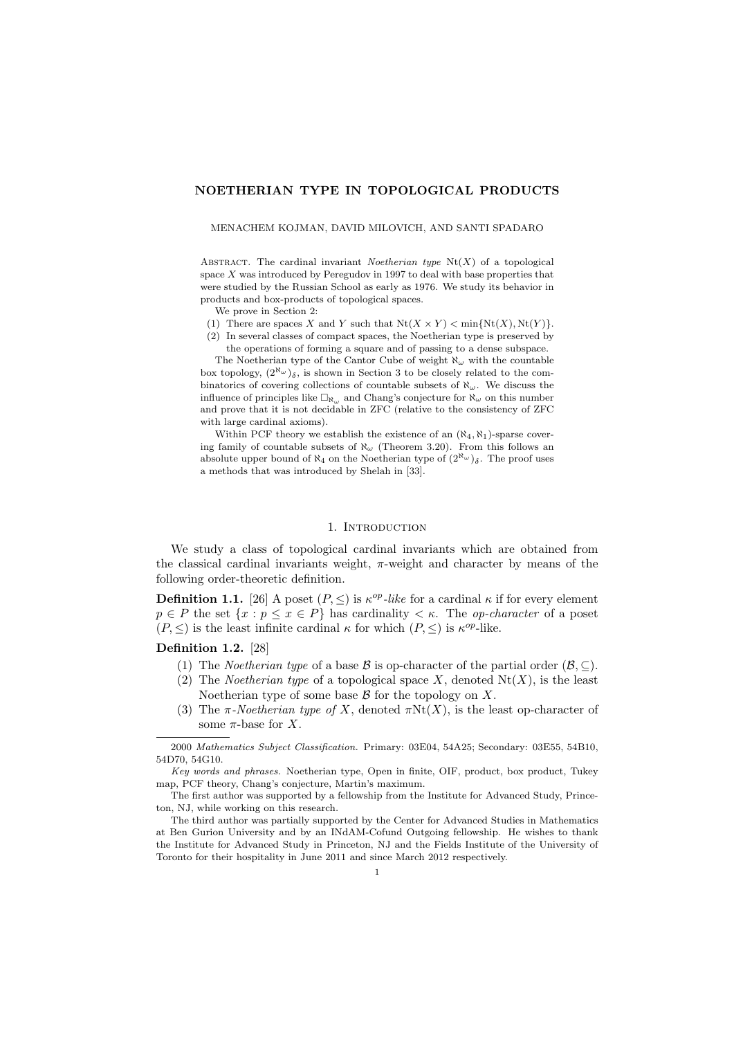# NOETHERIAN TYPE IN TOPOLOGICAL PRODUCTS

#### MENACHEM KOJMAN, DAVID MILOVICH, AND SANTI SPADARO

ABSTRACT. The cardinal invariant Noetherian type  $Nt(X)$  of a topological space  $X$  was introduced by Peregudov in 1997 to deal with base properties that were studied by the Russian School as early as 1976. We study its behavior in products and box-products of topological spaces.

We prove in Section 2:

- (1) There are spaces X and Y such that  $Nt(X \times Y) < \min\{Nt(X), Nt(Y)\}.$
- (2) In several classes of compact spaces, the Noetherian type is preserved by the operations of forming a square and of passing to a dense subspace.

The Noetherian type of the Cantor Cube of weight  $\aleph_{\omega}$  with the countable box topology,  $(2^{\aleph_{\omega}})_{\delta}$ , is shown in Section 3 to be closely related to the combinatorics of covering collections of countable subsets of  $\aleph_{\omega}$ . We discuss the influence of principles like  $\Box_{\aleph_\omega}$  and Chang's conjecture for  $\aleph_\omega$  on this number and prove that it is not decidable in ZFC (relative to the consistency of ZFC with large cardinal axioms).

Within PCF theory we establish the existence of an  $(\aleph_4, \aleph_1)$ -sparse covering family of countable subsets of  $\aleph_{\omega}$  (Theorem 3.20). From this follows an absolute upper bound of  $\aleph_4$  on the Noetherian type of  $(2^{\aleph_\omega})_\delta$ . The proof uses a methods that was introduced by Shelah in [33].

# 1. INTRODUCTION

We study a class of topological cardinal invariants which are obtained from the classical cardinal invariants weight,  $\pi$ -weight and character by means of the following order-theoretic definition.

**Definition 1.1.** [26] A poset  $(P, \leq)$  is  $\kappa^{op}$ -like for a cardinal  $\kappa$  if for every element  $p \in P$  the set  $\{x : p \le x \in P\}$  has cardinality  $\lt \kappa$ . The *op-character* of a poset  $(P, \leq)$  is the least infinite cardinal  $\kappa$  for which  $(P, \leq)$  is  $\kappa^{op}$ -like.

# Definition 1.2. [28]

- (1) The *Noetherian type* of a base B is op-character of the partial order  $(\mathcal{B}, \subseteq)$ .
- (2) The *Noetherian type* of a topological space X, denoted  $Nt(X)$ , is the least Noetherian type of some base  $\beta$  for the topology on X.
- (3) The  $\pi$ -Noetherian type of X, denoted  $\pi Nt(X)$ , is the least op-character of some  $\pi$ -base for X.

The first author was supported by a fellowship from the Institute for Advanced Study, Princeton, NJ, while working on this research.

The third author was partially supported by the Center for Advanced Studies in Mathematics at Ben Gurion University and by an INdAM-Cofund Outgoing fellowship. He wishes to thank the Institute for Advanced Study in Princeton, NJ and the Fields Institute of the University of Toronto for their hospitality in June 2011 and since March 2012 respectively.

<sup>2000</sup> Mathematics Subject Classification. Primary: 03E04, 54A25; Secondary: 03E55, 54B10, 54D70, 54G10.

Key words and phrases. Noetherian type, Open in finite, OIF, product, box product, Tukey map, PCF theory, Chang's conjecture, Martin's maximum.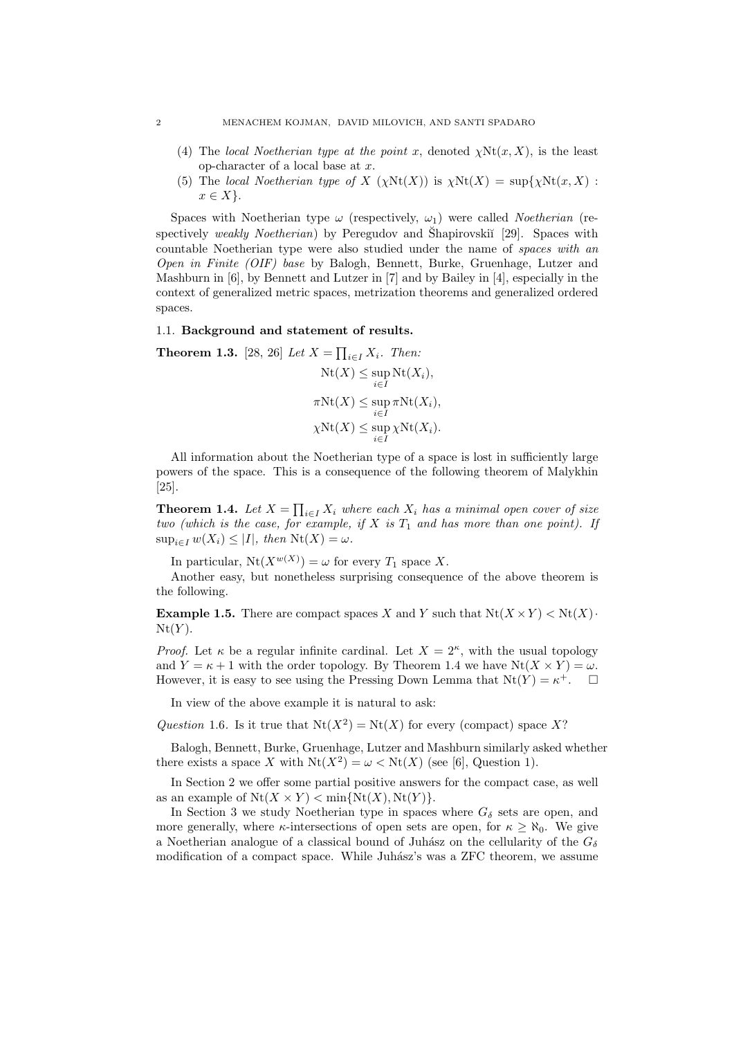- (4) The local Noetherian type at the point x, denoted  $\chi \text{Nt}(x, X)$ , is the least op-character of a local base at x.
- (5) The local Noetherian type of X  $(\chi \text{Nt}(X))$  is  $\chi \text{Nt}(X) = \text{sup}\{\chi \text{Nt}(x, X)$ :  $x \in X$ .

Spaces with Noetherian type  $\omega$  (respectively,  $\omega_1$ ) were called *Noetherian* (respectively weakly Noetherian) by Peregudov and Shapirovskii [29]. Spaces with countable Noetherian type were also studied under the name of spaces with an Open in Finite (OIF) base by Balogh, Bennett, Burke, Gruenhage, Lutzer and Mashburn in [6], by Bennett and Lutzer in [7] and by Bailey in [4], especially in the context of generalized metric spaces, metrization theorems and generalized ordered spaces.

# 1.1. Background and statement of results.

**Theorem 1.3.** [28, 26] Let 
$$
X = \prod_{i \in I} X_i
$$
. Then:  
\n
$$
Nt(X) \le \sup_{i \in I} Nt(X_i),
$$
\n
$$
\pi Nt(X) \le \sup_{i \in I} \pi Nt(X_i),
$$
\n
$$
\chi Nt(X) \le \sup_{i \in I} \chi Nt(X_i).
$$

All information about the Noetherian type of a space is lost in sufficiently large powers of the space. This is a consequence of the following theorem of Malykhin  $|25|$ .

**Theorem 1.4.** Let  $X = \prod_{i \in I} X_i$  where each  $X_i$  has a minimal open cover of size two (which is the case, for example, if X is  $T_1$  and has more than one point). If  $\sup_{i\in I} w(X_i) \leq |I|$ , then  $\mathrm{Nt}(X) = \omega$ .

In particular,  $Nt(X^{w(X)}) = \omega$  for every  $T_1$  space X.

Another easy, but nonetheless surprising consequence of the above theorem is the following.

**Example 1.5.** There are compact spaces X and Y such that  $Nt(X \times Y) < Nt(X)$ .  $Nt(Y)$ .

*Proof.* Let  $\kappa$  be a regular infinite cardinal. Let  $X = 2^{\kappa}$ , with the usual topology and  $Y = \kappa + 1$  with the order topology. By Theorem 1.4 we have  $Nt(X \times Y) = \omega$ . However, it is easy to see using the Pressing Down Lemma that  $Nt(Y) = \kappa^+$ .  $\Box$ 

In view of the above example it is natural to ask:

Question 1.6. Is it true that  $Nt(X^2) = Nt(X)$  for every (compact) space X?

Balogh, Bennett, Burke, Gruenhage, Lutzer and Mashburn similarly asked whether there exists a space X with  $Nt(X^2) = \omega < Nt(X)$  (see [6], Question 1).

In Section 2 we offer some partial positive answers for the compact case, as well as an example of  $Nt(X \times Y) < \min\{Nt(X), Nt(Y)\}.$ 

In Section 3 we study Noetherian type in spaces where  $G_{\delta}$  sets are open, and more generally, where  $\kappa$ -intersections of open sets are open, for  $\kappa \ge \aleph_0$ . We give a Noetherian analogue of a classical bound of Juhász on the cellularity of the  $G_{\delta}$ modification of a compact space. While Juhász's was a ZFC theorem, we assume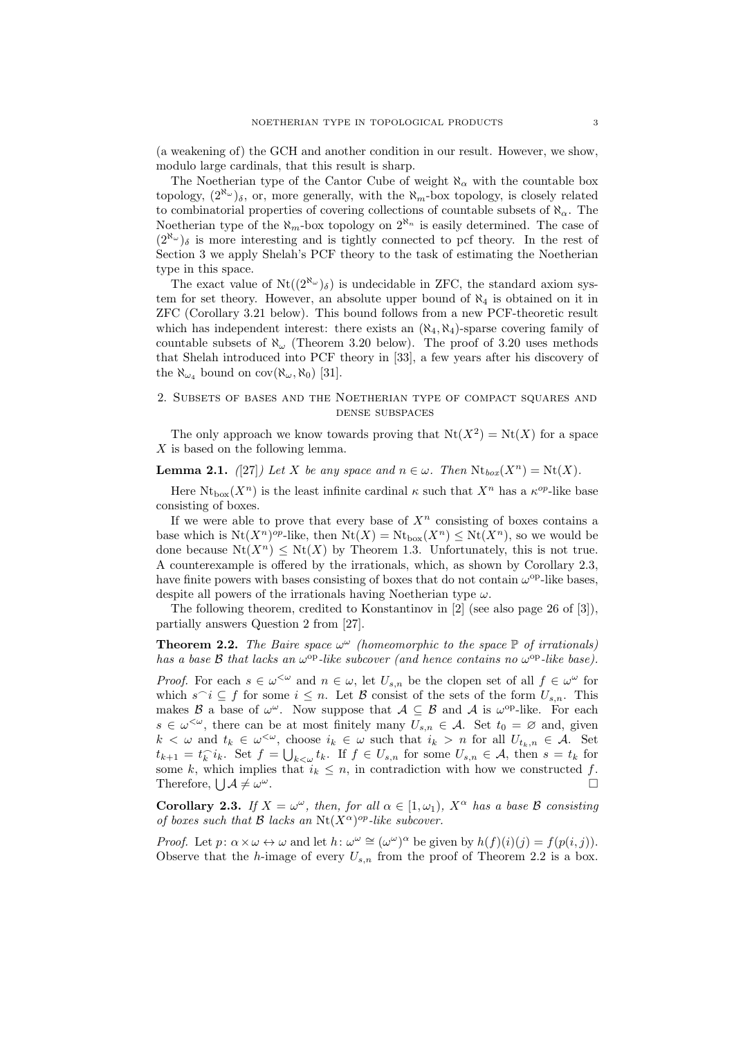(a weakening of) the GCH and another condition in our result. However, we show, modulo large cardinals, that this result is sharp.

The Noetherian type of the Cantor Cube of weight  $\aleph_{\alpha}$  with the countable box topology,  $(2^{\aleph_{\omega}})_{\delta}$ , or, more generally, with the  $\aleph_{m}$ -box topology, is closely related to combinatorial properties of covering collections of countable subsets of  $\aleph_{\alpha}$ . The Noetherian type of the  $\aleph_m$ -box topology on  $2^{\aleph_n}$  is easily determined. The case of  $(2^{\aleph_{\omega}})_{\delta}$  is more interesting and is tightly connected to pcf theory. In the rest of Section 3 we apply Shelah's PCF theory to the task of estimating the Noetherian type in this space.

The exact value of  $Nt((2^{\aleph_{\omega}})_{\delta})$  is undecidable in ZFC, the standard axiom system for set theory. However, an absolute upper bound of  $\aleph_4$  is obtained on it in ZFC (Corollary 3.21 below). This bound follows from a new PCF-theoretic result which has independent interest: there exists an  $(\aleph_4, \aleph_4)$ -sparse covering family of countable subsets of  $\aleph_{\omega}$  (Theorem 3.20 below). The proof of 3.20 uses methods that Shelah introduced into PCF theory in [33], a few years after his discovery of the  $\aleph_{\omega_4}$  bound on  $cov(\aleph_{\omega}, \aleph_0)$  [31].

# 2. Subsets of bases and the Noetherian type of compact squares and dense subspaces

The only approach we know towards proving that  $Nt(X^2) = Nt(X)$  for a space X is based on the following lemma.

**Lemma 2.1.** ([27]) Let X be any space and  $n \in \omega$ . Then  $\text{Nt}_{box}(X^n) = \text{Nt}(X)$ .

Here  $Nt_{\text{box}}(X^n)$  is the least infinite cardinal  $\kappa$  such that  $X^n$  has a  $\kappa^{op}$ -like base consisting of boxes.

If we were able to prove that every base of  $X<sup>n</sup>$  consisting of boxes contains a base which is  $Nt(X^n)^{op}$ -like, then  $Nt(X) = Nt_{box}(X^n) \leq Nt(X^n)$ , so we would be done because  $Nt(X^n) \leq Nt(X)$  by Theorem 1.3. Unfortunately, this is not true. A counterexample is offered by the irrationals, which, as shown by Corollary 2.3, have finite powers with bases consisting of boxes that do not contain  $\omega^{\rm op}$ -like bases, despite all powers of the irrationals having Noetherian type  $\omega$ .

The following theorem, credited to Konstantinov in [2] (see also page 26 of [3]), partially answers Question 2 from [27].

**Theorem 2.2.** The Baire space  $\omega^{\omega}$  (homeomorphic to the space  $\mathbb{P}$  of irrationals) has a base  $\beta$  that lacks an  $\omega^{\rm op}$ -like subcover (and hence contains no  $\omega^{\rm op}$ -like base).

*Proof.* For each  $s \in \omega^{\leq \omega}$  and  $n \in \omega$ , let  $U_{s,n}$  be the clopen set of all  $f \in \omega^{\omega}$  for which  $s^i \subseteq f$  for some  $i \leq n$ . Let B consist of the sets of the form  $U_{s,n}$ . This makes B a base of  $\omega^{\omega}$ . Now suppose that  $\mathcal{A} \subseteq \mathcal{B}$  and A is  $\omega^{\mathrm{op}}$ -like. For each  $s \in \omega^{\leq \omega}$ , there can be at most finitely many  $U_{s,n} \in \mathcal{A}$ . Set  $t_0 = \varnothing$  and, given  $k < \omega$  and  $t_k \in \omega^{\leq \omega}$ , choose  $i_k \in \omega$  such that  $i_k > n$  for all  $U_{t_k,n} \in \mathcal{A}$ . Set  $t_{k+1} = t_k^{\frown} i_k$ . Set  $f = \bigcup_{k \leq \omega} t_k$ . If  $f \in U_{s,n}$  for some  $U_{s,n} \in \mathcal{A}$ , then  $s = t_k$  for some k, which implies that  $i_k \leq n$ , in contradiction with how we constructed f. Therefore,  $\bigcup \mathcal{A} \neq \omega$  $\omega$ .

**Corollary 2.3.** If  $X = \omega^{\omega}$ , then, for all  $\alpha \in [1, \omega_1)$ ,  $X^{\alpha}$  has a base B consisting of boxes such that  $\mathcal B$  lacks an  $\mathrm{Nt}(X^\alpha)^{op}\text{-like subcover.}$ 

*Proof.* Let  $p: \alpha \times \omega \leftrightarrow \omega$  and let  $h: \omega^{\omega} \cong (\omega^{\omega})^{\alpha}$  be given by  $h(f)(i)(j) = f(p(i, j)).$ Observe that the h-image of every  $U_{s,n}$  from the proof of Theorem 2.2 is a box.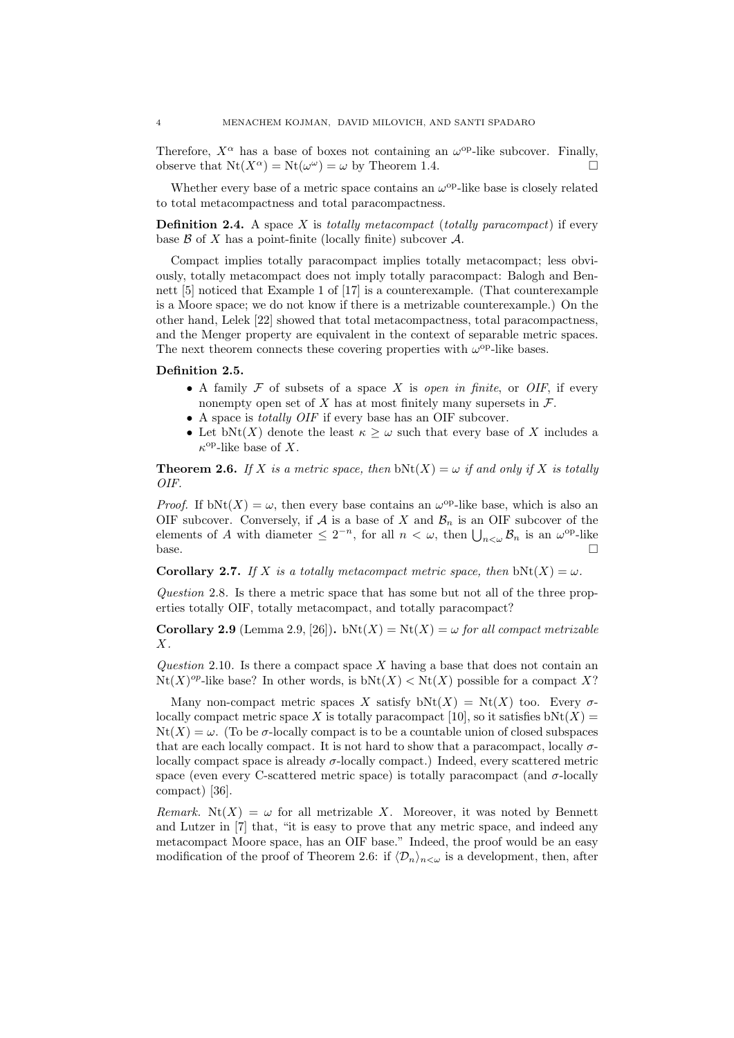Therefore,  $X^{\alpha}$  has a base of boxes not containing an  $\omega^{\text{op}}$ -like subcover. Finally, observe that  $Nt(X^{\alpha}) = Nt(\omega^{\omega}) = \omega$  by Theorem 1.4.

Whether every base of a metric space contains an  $\omega^{\rm op}$ -like base is closely related to total metacompactness and total paracompactness.

**Definition 2.4.** A space X is *totally metacompact* (*totally paracompact*) if every base  $\beta$  of X has a point-finite (locally finite) subcover  $\mathcal{A}$ .

Compact implies totally paracompact implies totally metacompact; less obviously, totally metacompact does not imply totally paracompact: Balogh and Bennett [5] noticed that Example 1 of [17] is a counterexample. (That counterexample is a Moore space; we do not know if there is a metrizable counterexample.) On the other hand, Lelek [22] showed that total metacompactness, total paracompactness, and the Menger property are equivalent in the context of separable metric spaces. The next theorem connects these covering properties with  $\omega^{\rm op}$ -like bases.

### Definition 2.5.

- A family  $\mathcal F$  of subsets of a space X is open in finite, or OIF, if every nonempty open set of X has at most finitely many supersets in  $\mathcal{F}$ .
- A space is *totally OIF* if every base has an OIF subcover.
- Let bNt(X) denote the least  $\kappa \geq \omega$  such that every base of X includes a  $\kappa$ <sup>op</sup>-like base of X.

**Theorem 2.6.** If X is a metric space, then  $bNt(X) = \omega$  if and only if X is totally OIF.

*Proof.* If  $bNt(X) = \omega$ , then every base contains an  $\omega^{op}$ -like base, which is also an OIF subcover. Conversely, if A is a base of X and  $\mathcal{B}_n$  is an OIF subcover of the elements of A with diameter  $\leq 2^{-n}$ , for all  $n < \omega$ , then  $\bigcup_{n<\omega} \mathcal{B}_n$  is an  $\omega^{\text{op-like}}$ base.

**Corollary 2.7.** If X is a totally metacompact metric space, then bNt(X) =  $\omega$ .

Question 2.8. Is there a metric space that has some but not all of the three properties totally OIF, totally metacompact, and totally paracompact?

Corollary 2.9 (Lemma 2.9, [26]). bNt(X) = Nt(X) =  $\omega$  for all compact metrizable  $X$ .

Question 2.10. Is there a compact space  $X$  having a base that does not contain an  $Nt(X)^\text{op-like base?}$  In other words, is  $bNt(X) < Nt(X)$  possible for a compact X?

Many non-compact metric spaces X satisfy  $bNt(X) = Nt(X)$  too. Every  $\sigma$ locally compact metric space X is totally paracompact [10], so it satisfies  $bNt(X) =$  $Nt(X) = \omega$ . (To be  $\sigma$ -locally compact is to be a countable union of closed subspaces that are each locally compact. It is not hard to show that a paracompact, locally  $\sigma$ locally compact space is already  $\sigma$ -locally compact.) Indeed, every scattered metric space (even every C-scattered metric space) is totally paracompact (and  $\sigma$ -locally compact) [36].

Remark.  $Nt(X) = \omega$  for all metrizable X. Moreover, it was noted by Bennett and Lutzer in [7] that, "it is easy to prove that any metric space, and indeed any metacompact Moore space, has an OIF base." Indeed, the proof would be an easy modification of the proof of Theorem 2.6: if  $\langle \mathcal{D}_n \rangle_{n \leq \omega}$  is a development, then, after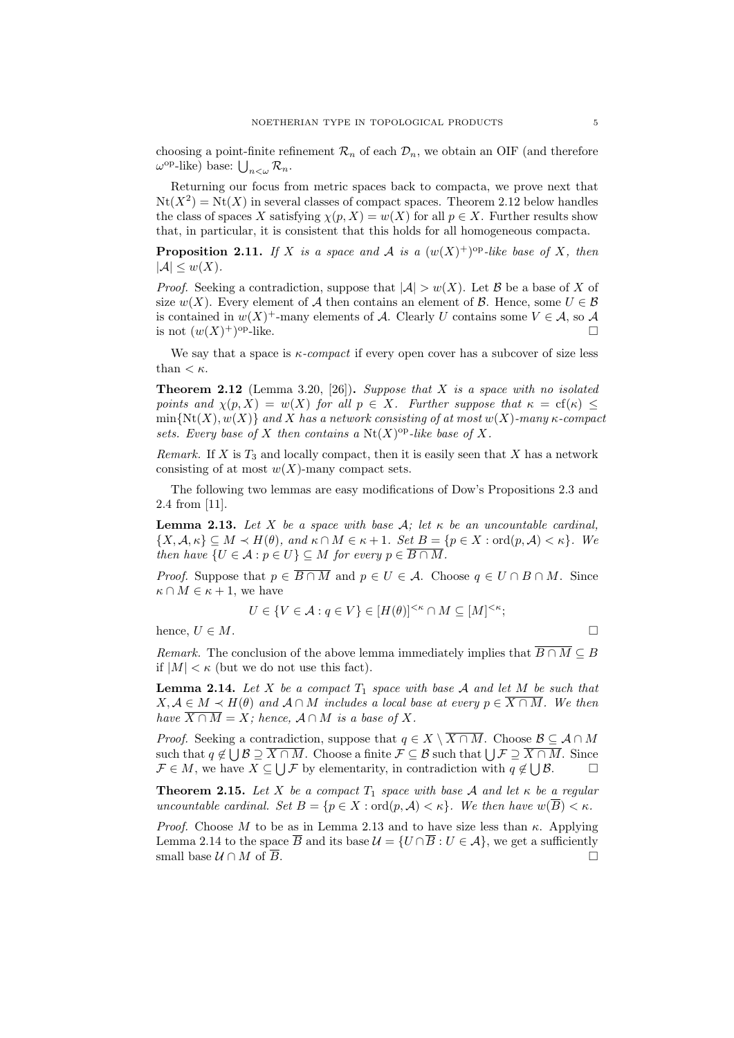choosing a point-finite refinement  $\mathcal{R}_n$  of each  $\mathcal{D}_n$ , we obtain an OIF (and therefore  $\omega^{\text{op}}$ -like) base:  $\bigcup_{n<\omega}\mathcal{R}_n$ .

Returning our focus from metric spaces back to compacta, we prove next that  $Nt(X^2) = Nt(X)$  in several classes of compact spaces. Theorem 2.12 below handles the class of spaces X satisfying  $\chi(p, X) = w(X)$  for all  $p \in X$ . Further results show that, in particular, it is consistent that this holds for all homogeneous compacta.

**Proposition 2.11.** If X is a space and A is a  $(w(X)^+)^{\text{op}}$ -like base of X, then  $|\mathcal{A}| \leq w(X).$ 

*Proof.* Seeking a contradiction, suppose that  $|\mathcal{A}| > w(X)$ . Let B be a base of X of size  $w(X)$ . Every element of A then contains an element of B. Hence, some  $U \in \mathcal{B}$ is contained in  $w(X)^+$ -many elements of A. Clearly U contains some  $V \in \mathcal{A}$ , so A is not  $(w(X)^+)$  $\Box$  op-like.

We say that a space is  $\kappa$ -compact if every open cover has a subcover of size less than  $< \kappa$ .

**Theorem 2.12** (Lemma 3.20, [26]). Suppose that X is a space with no isolated points and  $\chi(p, X) = w(X)$  for all  $p \in X$ . Further suppose that  $\kappa = \text{cf}(\kappa)$  $\min\{Nt(X), w(X)\}\$ and X has a network consisting of at most w(X)-many  $\kappa$ -compact sets. Every base of X then contains a  $Nt(X)$ <sup>op</sup>-like base of X.

Remark. If X is  $T_3$  and locally compact, then it is easily seen that X has a network consisting of at most  $w(X)$ -many compact sets.

The following two lemmas are easy modifications of Dow's Propositions 2.3 and 2.4 from [11].

**Lemma 2.13.** Let X be a space with base  $\mathcal{A}$ ; let  $\kappa$  be an uncountable cardinal,  $\{X, \mathcal{A}, \kappa\} \subseteq M \prec H(\theta)$ , and  $\kappa \cap M \in \kappa + 1$ . Set  $B = \{p \in X : \text{ord}(p, \mathcal{A}) < \kappa\}$ . We then have  $\{U \in \mathcal{A} : p \in U\} \subseteq M$  for every  $p \in \overline{B \cap M}$ .

*Proof.* Suppose that  $p \in \overline{B \cap M}$  and  $p \in U \in A$ . Choose  $q \in U \cap B \cap M$ . Since  $\kappa \cap M \in \kappa + 1$ , we have

$$
U \in \{ V \in \mathcal{A} : q \in V \} \in [H(\theta)]^{<\kappa} \cap M \subseteq [M]^{<\kappa};
$$

hence,  $U \in M$ .

Remark. The conclusion of the above lemma immediately implies that  $\overline{B \cap M} \subseteq B$ if  $|M| < \kappa$  (but we do not use this fact).

**Lemma 2.14.** Let X be a compact  $T_1$  space with base A and let M be such that  $X, \mathcal{A} \in M \prec H(\theta)$  and  $\mathcal{A} \cap M$  includes a local base at every  $p \in \overline{X \cap M}$ . We then have  $\overline{X \cap M} = X$ ; hence,  $\mathcal{A} \cap M$  is a base of X.

*Proof.* Seeking a contradiction, suppose that  $q \in X \setminus \overline{X \cap M}$ . Choose  $\mathcal{B} \subseteq \mathcal{A} \cap M$ such that  $q \notin \bigcup \mathcal{B} \supseteq X \cap M$ . Choose a finite  $\mathcal{F} \subseteq \mathcal{B}$  such that  $\bigcup \mathcal{F} \supseteq X \cap M$ . Since  $\mathcal{F} \in M$ , we have  $X \subseteq \bigcup \mathcal{F}$  by elementarity, in contradiction with  $q \notin \bigcup \mathcal{B}$ .

**Theorem 2.15.** Let X be a compact  $T_1$  space with base A and let  $\kappa$  be a regular uncountable cardinal. Set  $B = \{p \in X : \text{ord}(p, \mathcal{A}) \leq \kappa\}$ . We then have  $w(\overline{B}) \leq \kappa$ .

*Proof.* Choose M to be as in Lemma 2.13 and to have size less than  $\kappa$ . Applying Lemma 2.14 to the space  $\overline{B}$  and its base  $\mathcal{U} = \{U \cap \overline{B} : U \in \mathcal{A}\}$ , we get a sufficiently small base  $\mathcal{U} \cap M$  of  $\overline{B}$ .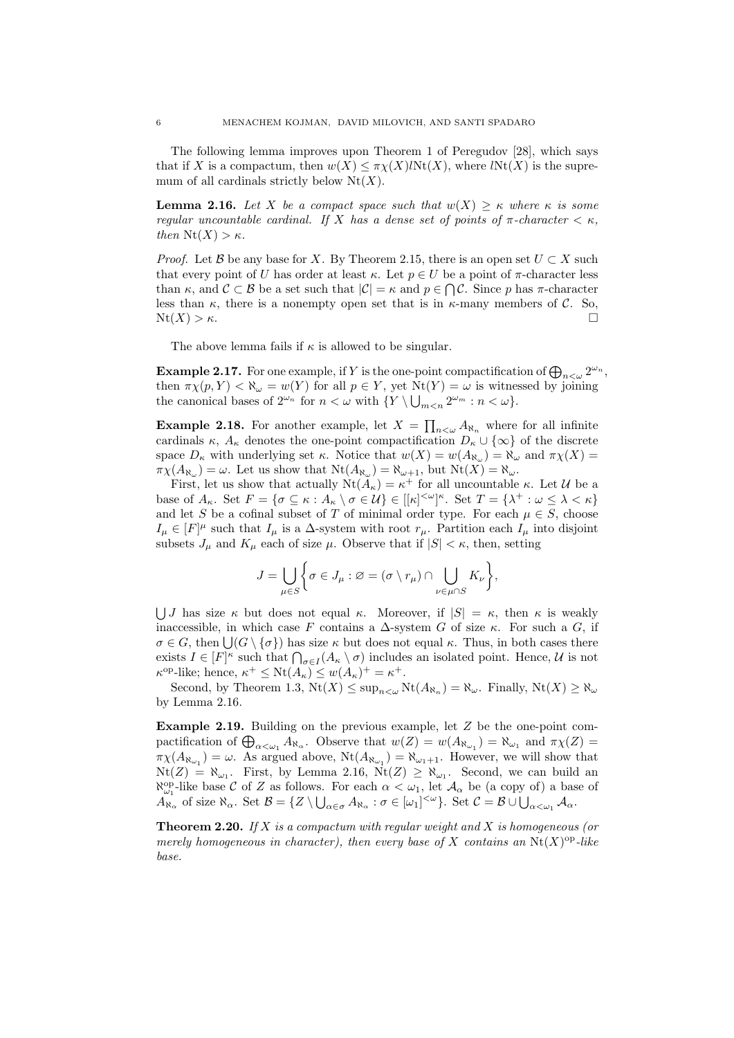The following lemma improves upon Theorem 1 of Peregudov [28], which says that if X is a compactum, then  $w(X) \leq \pi \chi(X) \text{INt}(X)$ , where  $\text{INt}(X)$  is the supremum of all cardinals strictly below  $Nt(X)$ .

**Lemma 2.16.** Let X be a compact space such that  $w(X) \geq \kappa$  where  $\kappa$  is some regular uncountable cardinal. If X has a dense set of points of  $\pi$ -character  $\lt \kappa$ , then  $Nt(X) > \kappa$ .

*Proof.* Let B be any base for X. By Theorem 2.15, there is an open set  $U \subset X$  such that every point of U has order at least  $\kappa$ . Let  $p \in U$  be a point of  $\pi$ -character less than  $\kappa$ , and  $\mathcal{C} \subset \mathcal{B}$  be a set such that  $|\mathcal{C}| = \kappa$  and  $p \in \bigcap \mathcal{C}$ . Since p has  $\pi$ -character less than  $\kappa$ , there is a nonempty open set that is in  $\kappa$ -many members of C. So,  $Nt(X) > \kappa$ .

The above lemma fails if  $\kappa$  is allowed to be singular.

**Example 2.17.** For one example, if Y is the one-point compactification of  $\bigoplus_{n<\omega}2^{\omega_n}$ , then  $\pi \chi(p, Y) < \aleph_{\omega} = w(Y)$  for all  $p \in Y$ , yet  $Nt(Y) = \omega$  is witnessed by joining the canonical bases of  $2^{\omega_n}$  for  $n < \omega$  with  $\{Y \setminus \bigcup_{m < n} 2^{\omega_m} : n < \omega\}.$ 

**Example 2.18.** For another example, let  $X = \prod_{n<\omega} A_{\aleph_n}$  where for all infinite cardinals  $\kappa$ ,  $A_{\kappa}$  denotes the one-point compactification  $D_{\kappa} \cup {\infty}$  of the discrete space  $D_{\kappa}$  with underlying set  $\kappa$ . Notice that  $w(X) = w(A_{\aleph_{\omega}}) = \aleph_{\omega}$  and  $\pi \chi(X) =$  $\pi \chi(A_{\aleph_\omega}) = \omega$ . Let us show that  $Nt(A_{\aleph_\omega}) = \aleph_{\omega+1}$ , but  $Nt(X) = \aleph_\omega$ .

First, let us show that actually  $Nt(A_{\kappa}) = \kappa^+$  for all uncountable  $\kappa$ . Let  $\mathcal U$  be a base of  $A_{\kappa}$ . Set  $F = {\sigma \subseteq \kappa : A_{\kappa} \setminus \sigma \in \mathcal{U}} \in [[\kappa]^{<\omega}]^{\kappa}$ . Set  $T = {\lambda^+ : \omega \leq \lambda < \kappa}$ and let S be a cofinal subset of T of minimal order type. For each  $\mu \in S$ , choose  $I_{\mu} \in [F]^{\mu}$  such that  $I_{\mu}$  is a  $\Delta$ -system with root  $r_{\mu}$ . Partition each  $I_{\mu}$  into disjoint subsets  $J_{\mu}$  and  $K_{\mu}$  each of size  $\mu$ . Observe that if  $|S| < \kappa$ , then, setting

$$
J = \bigcup_{\mu \in S} \bigg\{ \sigma \in J_{\mu} : \varnothing = (\sigma \setminus r_{\mu}) \cap \bigcup_{\nu \in \mu \cap S} K_{\nu} \bigg\},\,
$$

UJ has size  $\kappa$  but does not equal  $\kappa$ . Moreover, if  $|S| = \kappa$ , then  $\kappa$  is weakly inaccessible, in which case F contains a  $\Delta$ -system G of size  $\kappa$ . For such a G, if  $\sigma \in G$ , then  $\bigcup$   $(G \setminus {\{\sigma\}})$  has size  $\kappa$  but does not equal  $\kappa$ . Thus, in both cases there exists  $I \in [F]^{\kappa}$  such that  $\bigcap_{\sigma \in I} (A_{\kappa} \setminus \sigma)$  includes an isolated point. Hence, U is not  $\kappa^{\text{op-like}}$ ; hence,  $\kappa^+ \leq \text{Nt}(A_\kappa) \leq w(A_\kappa)^+ = \kappa^+$ .

Second, by Theorem 1.3,  $Nt(X) \leq \sup_{n \leq \omega} Nt(A_{\aleph_n}) = \aleph_{\omega}$ . Finally,  $Nt(X) \geq \aleph_{\omega}$ by Lemma 2.16.

**Example 2.19.** Building on the previous example, let  $Z$  be the one-point compactification of  $\bigoplus_{\alpha<\omega_1} A_{\aleph_\alpha}$ . Observe that  $w(Z) = w(A_{\aleph_{\omega_1}}) = \aleph_{\omega_1}$  and  $\pi\chi(Z) =$  $\pi\chi(A_{\aleph_{\omega_1}})=\omega$ . As argued above,  $\text{Nt}(A_{\aleph_{\omega_1}})=\aleph_{\omega_1+1}$ . However, we will show that  $Nt(Z) = \aleph_{\omega_1}$ . First, by Lemma 2.16,  $Nt(Z) \ge \aleph_{\omega_1}$ . Second, we can build an  $\aleph_{\omega_1}^{\text{op}}$ -like base C of Z as follows. For each  $\alpha < \omega_1$ , let  $\mathcal{A}_{\alpha}$  be (a copy of) a base of  $A_{\aleph_{\alpha}}$  of size  $\aleph_{\alpha}$ . Set  $\mathcal{B} = \{Z \setminus \bigcup_{\alpha \in \sigma} A_{\aleph_{\alpha}} : \sigma \in [\omega_1]^{<\omega} \}$ . Set  $\mathcal{C} = \mathcal{B} \cup \bigcup_{\alpha < \omega_1} A_{\alpha}$ .

**Theorem 2.20.** If  $X$  is a compactum with regular weight and  $X$  is homogeneous (or merely homogeneous in character), then every base of X contains an  $Nt(X)$ <sup>op</sup>-like base.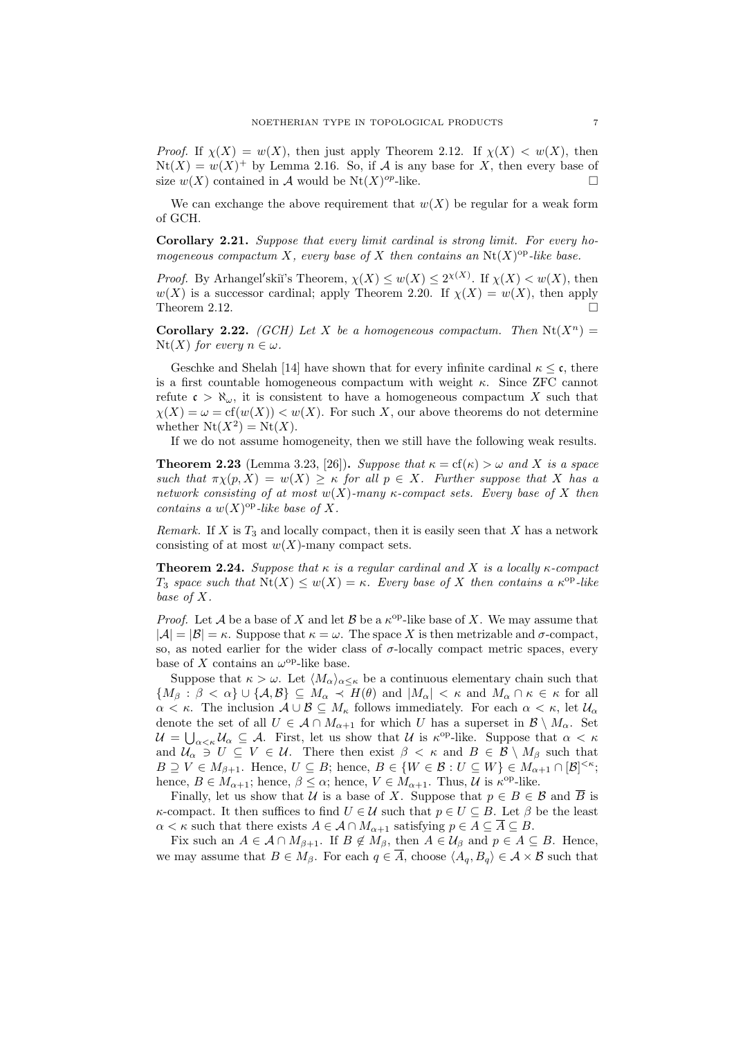*Proof.* If  $\chi(X) = w(X)$ , then just apply Theorem 2.12. If  $\chi(X) < w(X)$ , then  $Nt(X) = w(X)^+$  by Lemma 2.16. So, if A is any base for X, then every base of size  $w(X)$  contained in A would be  $Nt(X)^{op}$ -like.

We can exchange the above requirement that  $w(X)$  be regular for a weak form of GCH.

Corollary 2.21. Suppose that every limit cardinal is strong limit. For every homogeneous compactum X, every base of X then contains an  $Nt(X)^\text{op}-like$  base.

*Proof.* By Arhangel'skiï's Theorem,  $\chi(X) \leq w(X) \leq 2^{\chi(X)}$ . If  $\chi(X) < w(X)$ , then  $w(X)$  is a successor cardinal; apply Theorem 2.20. If  $\chi(X) = w(X)$ , then apply Theorem 2.12.  $\Box$ 

**Corollary 2.22.** (GCH) Let X be a homogeneous compactum. Then  $Nt(X^n)$  =  $Nt(X)$  for every  $n \in \omega$ .

Geschke and Shelah [14] have shown that for every infinite cardinal  $\kappa \leq \mathfrak{c}$ , there is a first countable homogeneous compactum with weight  $\kappa$ . Since ZFC cannot refute  $\mathfrak{c} > \aleph_{\omega}$ , it is consistent to have a homogeneous compactum X such that  $\chi(X) = \omega = \text{cf}(w(X)) < w(X)$ . For such X, our above theorems do not determine whether  $Nt(X^2) = Nt(X)$ .

If we do not assume homogeneity, then we still have the following weak results.

**Theorem 2.23** (Lemma 3.23, [26]). Suppose that  $\kappa = cf(\kappa) > \omega$  and X is a space such that  $\pi \chi(p, X) = w(X) \geq \kappa$  for all  $p \in X$ . Further suppose that X has a network consisting of at most  $w(X)$ -many  $\kappa$ -compact sets. Every base of X then contains a  $w(X)$ <sup>op</sup>-like base of X.

Remark. If X is  $T_3$  and locally compact, then it is easily seen that X has a network consisting of at most  $w(X)$ -many compact sets.

**Theorem 2.24.** Suppose that  $\kappa$  is a regular cardinal and X is a locally  $\kappa$ -compact T<sub>3</sub> space such that  $\text{Nt}(X) \leq w(X) = \kappa$ . Every base of X then contains a  $\kappa^{\text{op}}$ -like base of X.

*Proof.* Let A be a base of X and let B be a  $\kappa^{\text{op}}$ -like base of X. We may assume that  $|\mathcal{A}| = |\mathcal{B}| = \kappa$ . Suppose that  $\kappa = \omega$ . The space X is then metrizable and  $\sigma$ -compact, so, as noted earlier for the wider class of  $\sigma$ -locally compact metric spaces, every base of X contains an  $\omega^{\rm op}$ -like base.

Suppose that  $\kappa > \omega$ . Let  $\langle M_{\alpha} \rangle_{\alpha \leq \kappa}$  be a continuous elementary chain such that  ${M_\beta : \beta < \alpha} \cup {\mathcal{A}, \mathcal{B}} \subseteq M_\alpha \prec H(\theta)$  and  $|M_\alpha| < \kappa$  and  $M_\alpha \cap \kappa \in \kappa$  for all  $\alpha < \kappa$ . The inclusion  $\mathcal{A} \cup \mathcal{B} \subseteq M_{\kappa}$  follows immediately. For each  $\alpha < \kappa$ , let  $\mathcal{U}_{\alpha}$ denote the set of all  $U \in \mathcal{A} \cap M_{\alpha+1}$  for which U has a superset in  $\mathcal{B} \setminus M_\alpha$ . Set  $\mathcal{U} = \bigcup_{\alpha < \kappa} \mathcal{U}_{\alpha} \subseteq \mathcal{A}$ . First, let us show that  $\mathcal{U}$  is  $\kappa^{\text{op}}$ -like. Suppose that  $\alpha < \kappa$ and  $\mathcal{U}_{\alpha} \ni U \subseteq V \in \mathcal{U}$ . There then exist  $\beta < \kappa$  and  $B \in \mathcal{B} \setminus M_{\beta}$  such that  $B \supseteq V \in M_{\beta+1}$ . Hence,  $U \subseteq B$ ; hence,  $B \in \{W \in \mathcal{B} : U \subseteq W\} \in M_{\alpha+1} \cap [\mathcal{B}]^{<\kappa}$ ; hence,  $B \in M_{\alpha+1}$ ; hence,  $\beta \leq \alpha$ ; hence,  $V \in M_{\alpha+1}$ . Thus, U is  $\kappa^{\text{op}}$ -like.

Finally, let us show that U is a base of X. Suppose that  $p \in B \in \mathcal{B}$  and  $\overline{B}$  is κ-compact. It then suffices to find  $U \in \mathcal{U}$  such that  $p \in U \subseteq B$ . Let  $\beta$  be the least  $\alpha < \kappa$  such that there exists  $A \in \mathcal{A} \cap M_{\alpha+1}$  satisfying  $p \in A \subseteq A \subseteq B$ .

Fix such an  $A \in \mathcal{A} \cap M_{\beta+1}$ . If  $B \notin M_{\beta}$ , then  $A \in \mathcal{U}_{\beta}$  and  $p \in A \subseteq B$ . Hence, we may assume that  $B \in M_\beta$ . For each  $q \in \overline{A}$ , choose  $\langle A_q, B_q \rangle \in \mathcal{A} \times \mathcal{B}$  such that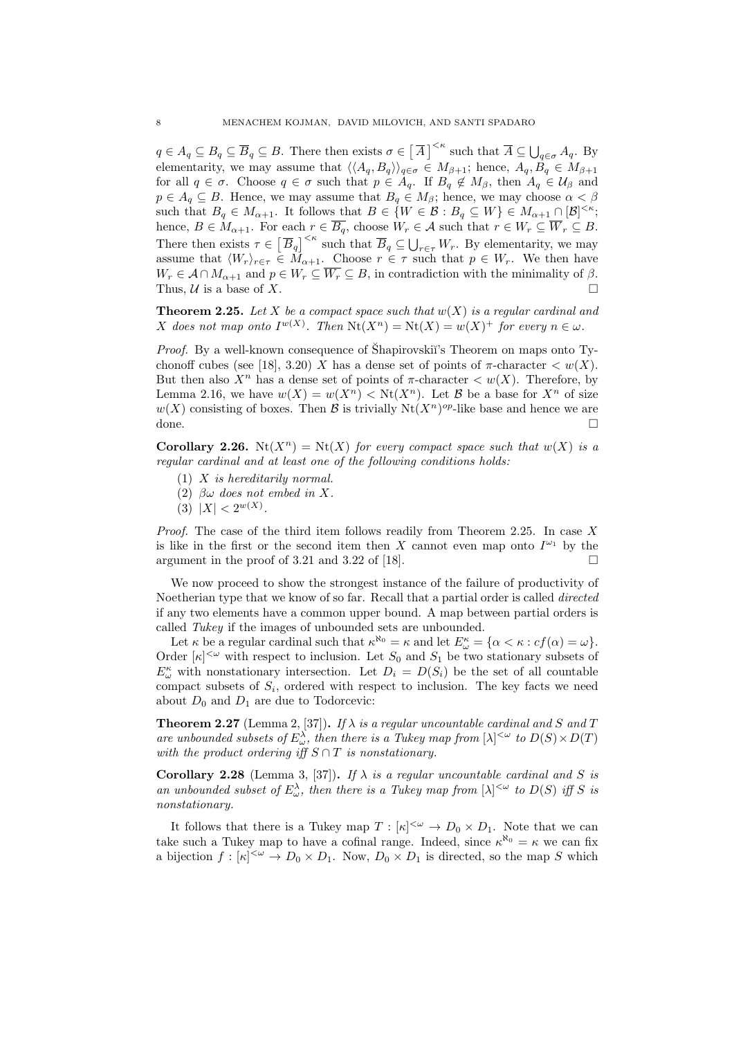$q \in A_q \subseteq B_q \subseteq \overline{B}_q \subseteq B$ . There then exists  $\sigma \in \left[\overline{A}\right]^{<\kappa}$  such that  $\overline{A} \subseteq \bigcup_{q \in \sigma} A_q$ . By elementarity, we may assume that  $\langle\langle A_q, B_q\rangle\rangle_{q\in\sigma} \in M_{\beta+1}$ ; hence,  $A_q, \dot{B}_q \in M_{\beta+1}$ for all  $q \in \sigma$ . Choose  $q \in \sigma$  such that  $p \in A_q$ . If  $B_q \notin M_\beta$ , then  $A_q \in \mathcal{U}_\beta$  and  $p \in A_q \subseteq B$ . Hence, we may assume that  $B_q \in M_\beta$ ; hence, we may choose  $\alpha < \beta$ such that  $B_q \in M_{\alpha+1}$ . It follows that  $B \in \{W \in \mathcal{B} : B_q \subseteq W\} \in M_{\alpha+1} \cap [\mathcal{B}]^{<\kappa};$ hence,  $B \in M_{\alpha+1}$ . For each  $r \in B_q$ , choose  $W_r \in \mathcal{A}$  such that  $r \in W_r \subseteq W_r \subseteq B$ . There then exists  $\tau \in \left[\overline{B}_q\right]^{\leq \kappa}$  such that  $\overline{B}_q \subseteq \bigcup_{r \in \tau} W_r$ . By elementarity, we may assume that  $\langle W_r \rangle_{r \in \tau} \in M_{\alpha+1}$ . Choose  $r \in \tau$  such that  $p \in W_r$ . We then have  $W_r \in \mathcal{A} \cap M_{\alpha+1}$  and  $p \in W_r \subseteq \overline{W_r} \subseteq B$ , in contradiction with the minimality of  $\beta$ . Thus,  $\mathcal U$  is a base of X.

**Theorem 2.25.** Let X be a compact space such that  $w(X)$  is a regular cardinal and X does not map onto  $I^{w(X)}$ . Then  $Nt(X^n) = Nt(X) = w(X)^+$  for every  $n \in \omega$ .

*Proof.* By a well-known consequence of Shapirovskiı's Theorem on maps onto Tychonoff cubes (see [18], 3.20) X has a dense set of points of  $\pi$ -character  $\lt w(X)$ . But then also  $X^n$  has a dense set of points of  $\pi$ -character  $\lt w(X)$ . Therefore, by Lemma 2.16, we have  $w(X) = w(X^n) < \text{Nt}(X^n)$ . Let B be a base for  $X^n$  of size  $w(X)$  consisting of boxes. Then B is trivially  $Nt(X^n)^{op}$ -like base and hence we are done.

**Corollary 2.26.**  $N_t(X^n) = N_t(X)$  for every compact space such that  $w(X)$  is a regular cardinal and at least one of the following conditions holds:

- $(1)$  X is hereditarily normal.
- (2)  $\beta\omega$  does not embed in X.
- (3)  $|X| < 2^{w(X)}$ .

*Proof.* The case of the third item follows readily from Theorem 2.25. In case  $X$ is like in the first or the second item then X cannot even map onto  $I^{\omega_1}$  by the argument in the proof of 3.21 and 3.22 of [18].  $\Box$ 

We now proceed to show the strongest instance of the failure of productivity of Noetherian type that we know of so far. Recall that a partial order is called *directed* if any two elements have a common upper bound. A map between partial orders is called Tukey if the images of unbounded sets are unbounded.

Let  $\kappa$  be a regular cardinal such that  $\kappa^{\aleph_0} = \kappa$  and let  $E^{\kappa}_{\omega} = {\alpha < \kappa : cf(\alpha) = \omega}.$ Order  $[\kappa]^{<\omega}$  with respect to inclusion. Let  $S_0$  and  $S_1$  be two stationary subsets of  $E_{\omega}^{\kappa}$  with nonstationary intersection. Let  $D_i = D(S_i)$  be the set of all countable compact subsets of  $S_i$ , ordered with respect to inclusion. The key facts we need about  $D_0$  and  $D_1$  are due to Todorcevic:

**Theorem 2.27** (Lemma 2, [37]). If  $\lambda$  is a regular uncountable cardinal and S and T are unbounded subsets of  $E_{\omega}^{\lambda}$ , then there is a Tukey map from  $[\lambda]^{<\omega}$  to  $D(S) \times D(T)$ with the product ordering iff  $S \cap T$  is nonstationary.

Corollary 2.28 (Lemma 3, [37]). If  $\lambda$  is a regular uncountable cardinal and S is an unbounded subset of  $E_{\omega}^{\lambda}$ , then there is a Tukey map from  $[\lambda]^{<\omega}$  to  $D(S)$  iff S is nonstationary.

It follows that there is a Tukey map  $T : [\kappa]^{<\omega} \to D_0 \times D_1$ . Note that we can take such a Tukey map to have a cofinal range. Indeed, since  $\kappa^{\aleph_0} = \kappa$  we can fix a bijection  $f : [\kappa]^{<\omega} \to D_0 \times D_1$ . Now,  $D_0 \times D_1$  is directed, so the map S which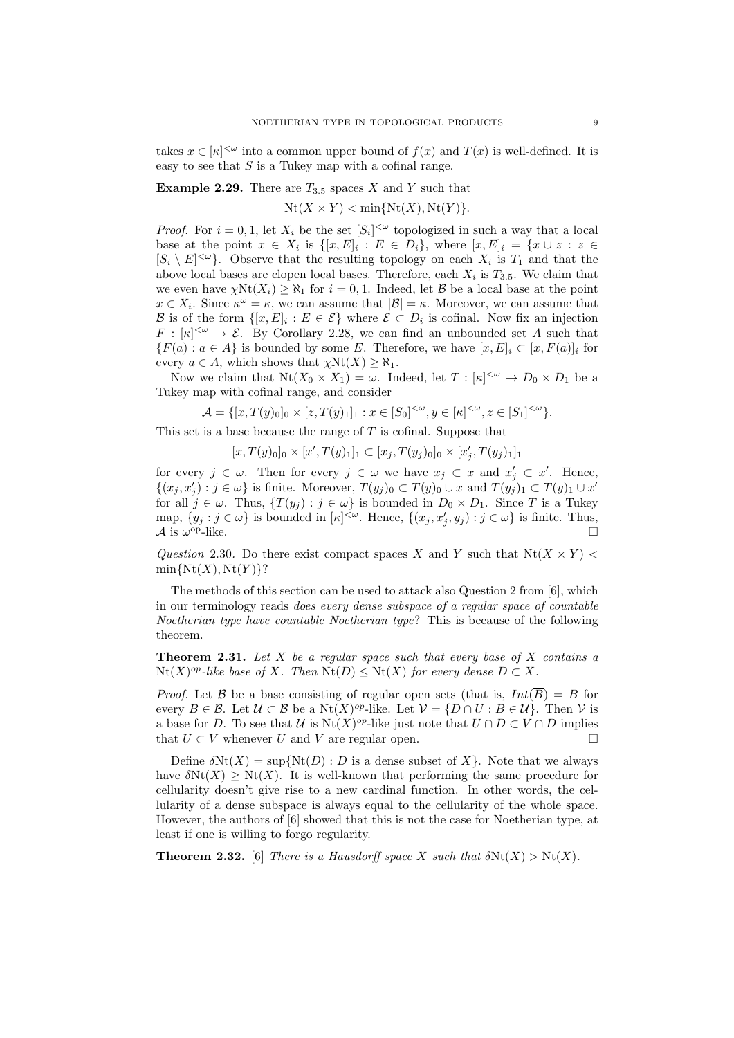takes  $x \in [\kappa]^{<\omega}$  into a common upper bound of  $f(x)$  and  $T(x)$  is well-defined. It is easy to see that  $S$  is a Tukey map with a cofinal range.

**Example 2.29.** There are  $T_{3.5}$  spaces X and Y such that

 $Nt(X \times Y) < min\{Nt(X), Nt(Y)\}.$ 

*Proof.* For  $i = 0, 1$ , let  $X_i$  be the set  $[S_i]^{<\omega}$  topologized in such a way that a local base at the point  $x \in X_i$  is  $\{[x,E]_i : E \in D_i\}$ , where  $[x,E]_i = \{x \cup z : z \in$  $[S_i \setminus E]^{<\omega}$ . Observe that the resulting topology on each  $X_i$  is  $T_1$  and that the above local bases are clopen local bases. Therefore, each  $X_i$  is  $T_{3.5}$ . We claim that we even have  $\chi \text{Nt}(X_i) \geq \aleph_1$  for  $i = 0, 1$ . Indeed, let  $\mathcal{B}$  be a local base at the point  $x \in X_i$ . Since  $\kappa^{\omega} = \kappa$ , we can assume that  $|\mathcal{B}| = \kappa$ . Moreover, we can assume that B is of the form  $\{[x, E]_i : E \in \mathcal{E}\}\$  where  $\mathcal{E} \subset D_i$  is cofinal. Now fix an injection  $F : [\kappa]^{<\omega} \to \mathcal{E}$ . By Corollary 2.28, we can find an unbounded set A such that  ${F(a): a \in A}$  is bounded by some E. Therefore, we have  $[x, E]_i \subset [x, F(a)]_i$  for every  $a \in A$ , which shows that  $\chi \text{Nt}(X) \geq \aleph_1$ .

Now we claim that  $Nt(X_0 \times X_1) = \omega$ . Indeed, let  $T: [\kappa]^{<\omega} \to D_0 \times D_1$  be a Tukey map with cofinal range, and consider

$$
\mathcal{A} = \{ [x, T(y)_0]_0 \times [z, T(y)_1]_1 : x \in [S_0]^{<\omega}, y \in [\kappa]^{<\omega}, z \in [S_1]^{<\omega} \}.
$$

This set is a base because the range of  $T$  is cofinal. Suppose that

 $[x, T(y)_0]_0 \times [x', T(y)_1]_1 \subset [x_j, T(y_j)_0]_0 \times [x'_j, T(y_j)_1]_1$ 

for every  $j \in \omega$ . Then for every  $j \in \omega$  we have  $x_j \subset x$  and  $x'_j \subset x'$ . Hence,  $\{(x_j, x'_j) : j \in \omega\}$  is finite. Moreover,  $T(y_j)_0 \subset T(y)_0 \cup x$  and  $T(y_j)_1 \subset T(y)_1 \cup x'$ for all  $j \in \omega$ . Thus,  $\{T(y_j) : j \in \omega\}$  is bounded in  $D_0 \times D_1$ . Since T is a Tukey map,  $\{y_j : j \in \omega\}$  is bounded in  $[\kappa]^{<\omega}$ . Hence,  $\{(x_j, x'_j, y_j) : j \in \omega\}$  is finite. Thus, A is  $\omega^{\rm op}\text{-like}$ .  $op-like.$ 

Question 2.30. Do there exist compact spaces X and Y such that  $Nt(X \times Y)$  $min\{Nt(X),Nt(Y)\}$ ?

The methods of this section can be used to attack also Question 2 from [6], which in our terminology reads does every dense subspace of a regular space of countable Noetherian type have countable Noetherian type? This is because of the following theorem.

**Theorem 2.31.** Let X be a regular space such that every base of X contains a  $Nt(X)^{op}.$  like base of X. Then  $Nt(D) \leq Nt(X)$  for every dense  $D \subset X$ .

*Proof.* Let B be a base consisting of regular open sets (that is,  $Int(\overline{B}) = B$  for every  $B \in \mathcal{B}$ . Let  $\mathcal{U} \subset \mathcal{B}$  be a Nt $(X)^{op}$ -like. Let  $\mathcal{V} = \{D \cap U : B \in \mathcal{U}\}\)$ . Then  $\mathcal{V}$  is a base for D. To see that U is  $Nt(X)^{op}$ -like just note that  $U \cap D \subset V \cap D$  implies that  $U \subset V$  whenever U and V are regular open.

Define  $\delta Nt(X) = \sup \{Nt(D) : D$  is a dense subset of X $\}$ . Note that we always have  $\delta Nt(X) \geq Nt(X)$ . It is well-known that performing the same procedure for cellularity doesn't give rise to a new cardinal function. In other words, the cellularity of a dense subspace is always equal to the cellularity of the whole space. However, the authors of [6] showed that this is not the case for Noetherian type, at least if one is willing to forgo regularity.

**Theorem 2.32.** [6] There is a Hausdorff space X such that  $\delta N t(X) > N t(X)$ .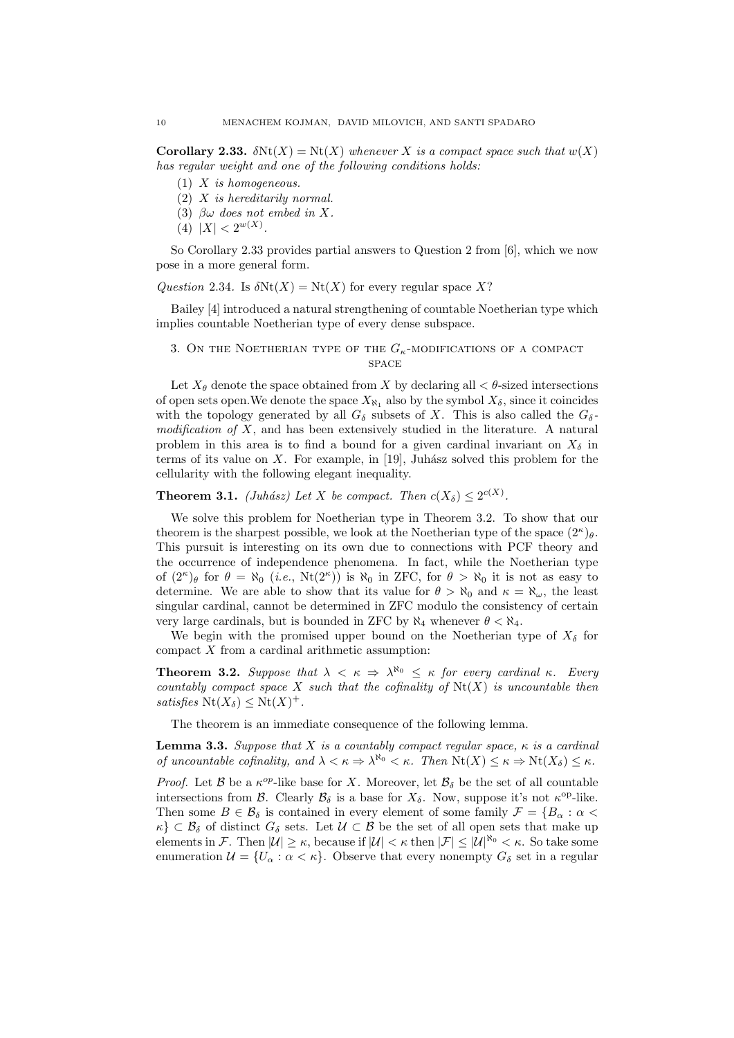Corollary 2.33.  $\delta Nt(X) = Nt(X)$  whenever X is a compact space such that  $w(X)$ has regular weight and one of the following conditions holds:

- $(1)$  X is homogeneous.
- (2) X is hereditarily normal.
- (3)  $\beta\omega$  does not embed in X.
- (4)  $|X| < 2^{w(X)}$ .

So Corollary 2.33 provides partial answers to Question 2 from [6], which we now pose in a more general form.

Question 2.34. Is  $\delta Nt(X) = Nt(X)$  for every regular space X?

Bailey [4] introduced a natural strengthening of countable Noetherian type which implies countable Noetherian type of every dense subspace.

3. ON THE NOETHERIAN TYPE OF THE  $G_{\kappa}$ -MODIFICATIONS OF A COMPACT space

Let  $X_{\theta}$  denote the space obtained from X by declaring all  $\lt \theta$ -sized intersections of open sets open. We denote the space  $X_{\aleph}$ , also by the symbol  $X_{\delta}$ , since it coincides with the topology generated by all  $G_{\delta}$  subsets of X. This is also called the  $G_{\delta}$ modification of  $X$ , and has been extensively studied in the literature. A natural problem in this area is to find a bound for a given cardinal invariant on  $X_{\delta}$  in terms of its value on  $X$ . For example, in [19], Juhász solved this problem for the cellularity with the following elegant inequality.

**Theorem 3.1.** (Juhász) Let X be compact. Then  $c(X_{\delta}) \leq 2^{c(X)}$ .

We solve this problem for Noetherian type in Theorem 3.2. To show that our theorem is the sharpest possible, we look at the Noetherian type of the space  $(2^{\kappa})_{\theta}$ . This pursuit is interesting on its own due to connections with PCF theory and the occurrence of independence phenomena. In fact, while the Noetherian type of  $(2^{\kappa})_{\theta}$  for  $\theta = \aleph_0$  (*i.e.*,  $Nt(2^{\kappa})$ ) is  $\aleph_0$  in ZFC, for  $\theta > \aleph_0$  it is not as easy to determine. We are able to show that its value for  $\theta > \aleph_0$  and  $\kappa = \aleph_{\omega}$ , the least singular cardinal, cannot be determined in ZFC modulo the consistency of certain very large cardinals, but is bounded in ZFC by  $\aleph_4$  whenever  $\theta < \aleph_4$ .

We begin with the promised upper bound on the Noetherian type of  $X_{\delta}$  for compact X from a cardinal arithmetic assumption:

**Theorem 3.2.** Suppose that  $\lambda < \kappa \Rightarrow \lambda^{\aleph_0} \leq \kappa$  for every cardinal  $\kappa$ . Every countably compact space X such that the cofinality of  $Nt(X)$  is uncountable then satisfies  $Nt(X_\delta) \leq Nt(X)^+$ .

The theorem is an immediate consequence of the following lemma.

**Lemma 3.3.** Suppose that X is a countably compact regular space,  $\kappa$  is a cardinal of uncountable cofinality, and  $\lambda < \kappa \Rightarrow \lambda^{\aleph_0} < \kappa$ . Then  $\text{Nt}(X) \leq \kappa \Rightarrow \text{Nt}(X_\delta) \leq \kappa$ .

*Proof.* Let  $\beta$  be a  $\kappa^{op}$ -like base for X. Moreover, let  $\beta_{\delta}$  be the set of all countable intersections from B. Clearly  $\mathcal{B}_{\delta}$  is a base for  $X_{\delta}$ . Now, suppose it's not  $\kappa^{\text{op-like}}$ . Then some  $B \in \mathcal{B}_\delta$  is contained in every element of some family  $\mathcal{F} = \{B_\alpha : \alpha <$  $\kappa$ }  $\subset$   $\mathcal{B}_\delta$  of distinct  $G_\delta$  sets. Let  $\mathcal{U} \subset \mathcal{B}$  be the set of all open sets that make up elements in F. Then  $|\mathcal{U}| \geq \kappa$ , because if  $|\mathcal{U}| < \kappa$  then  $|\mathcal{F}| \leq |\mathcal{U}|^{\aleph_0} < \kappa$ . So take some enumeration  $\mathcal{U} = \{U_{\alpha} : \alpha < \kappa\}$ . Observe that every nonempty  $G_{\delta}$  set in a regular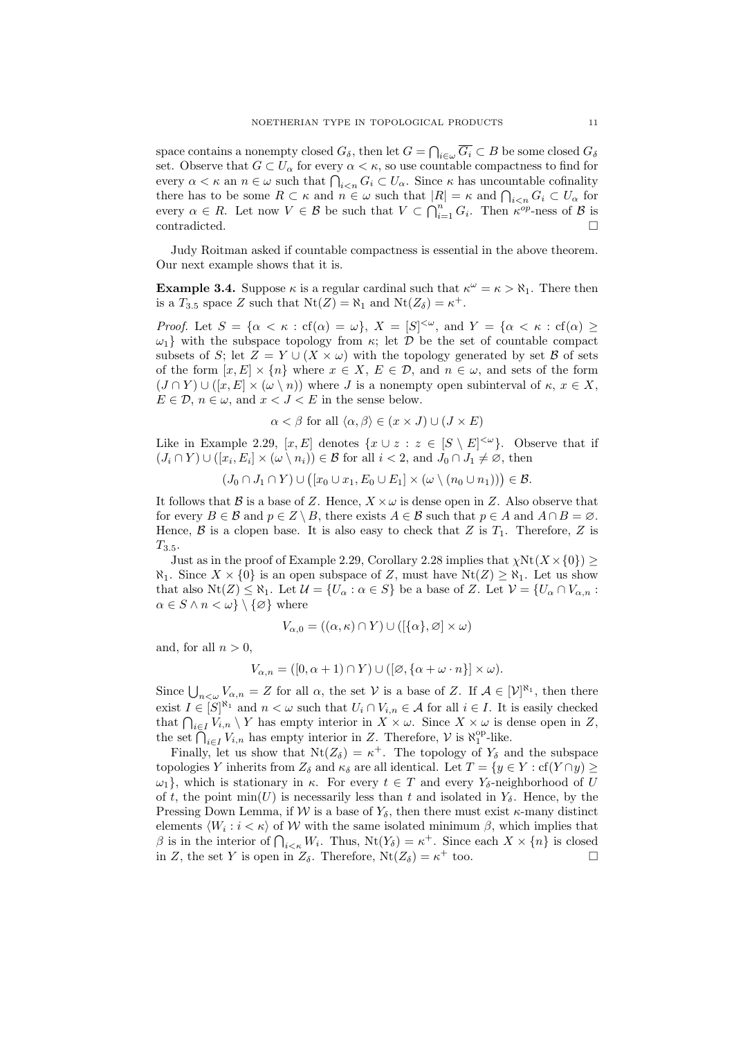space contains a nonempty closed  $G_{\delta}$ , then let  $G = \bigcap_{i \in \omega} \overline{G_i} \subset B$  be some closed  $G_{\delta}$ set. Observe that  $G \subset U_\alpha$  for every  $\alpha < \kappa$ , so use countable compactness to find for every  $\alpha < \kappa$  an  $n \in \omega$  such that  $\bigcap_{i \leq n} G_i \subset U_\alpha$ . Since  $\kappa$  has uncountable cofinality there has to be some  $R \subset \kappa$  and  $n \in \omega$  such that  $|R| = \kappa$  and  $\bigcap_{i \leq n} G_i \subset U_\alpha$  for every  $\alpha \in R$ . Let now  $V \in \mathcal{B}$  be such that  $V \subset \bigcap_{i=1}^n G_i$ . Then  $\kappa^{op}$ -ness of  $\mathcal{B}$  is contradicted.

Judy Roitman asked if countable compactness is essential in the above theorem. Our next example shows that it is.

**Example 3.4.** Suppose  $\kappa$  is a regular cardinal such that  $\kappa^{\omega} = \kappa > \aleph_1$ . There then is a  $T_{3.5}$  space Z such that  $Nt(Z) = \aleph_1$  and  $Nt(Z_\delta) = \kappa^+$ .

*Proof.* Let  $S = {\alpha < \kappa : cf(\alpha) = \omega}$ ,  $X = [S]^{<\omega}$ , and  $Y = {\alpha < \kappa : cf(\alpha) \ge \omega}$  $\omega_1$  with the subspace topology from  $\kappa$ ; let  $\mathcal D$  be the set of countable compact subsets of S; let  $Z = Y \cup (X \times \omega)$  with the topology generated by set B of sets of the form  $[x, E] \times \{n\}$  where  $x \in X$ ,  $E \in \mathcal{D}$ , and  $n \in \omega$ , and sets of the form  $(J \cap Y) \cup ([x, E] \times (\omega \setminus n))$  where J is a nonempty open subinterval of  $\kappa, x \in X$ ,  $E \in \mathcal{D}$ ,  $n \in \omega$ , and  $x < J < E$  in the sense below.

$$
\alpha < \beta
$$
 for all  $\langle \alpha, \beta \rangle \in (x \times J) \cup (J \times E)$ 

Like in Example 2.29,  $[x, E]$  denotes  $\{x \cup z : z \in [S \setminus E]^{<\omega}\}\$ . Observe that if  $(J_i \cap Y) \cup ([x_i, E_i] \times (\omega \setminus n_i)) \in \mathcal{B}$  for all  $i < 2$ , and  $J_0 \cap J_1 \neq \emptyset$ , then

$$
(J_0 \cap J_1 \cap Y) \cup ([x_0 \cup x_1, E_0 \cup E_1] \times (\omega \setminus (n_0 \cup n_1))) \in \mathcal{B}.
$$

It follows that B is a base of Z. Hence,  $X \times \omega$  is dense open in Z. Also observe that for every  $B \in \mathcal{B}$  and  $p \in Z \setminus B$ , there exists  $A \in \mathcal{B}$  such that  $p \in A$  and  $A \cap B = \emptyset$ . Hence,  $\beta$  is a clopen base. It is also easy to check that Z is  $T_1$ . Therefore, Z is  $T_{3.5}$ .

Just as in the proof of Example 2.29, Corollary 2.28 implies that  $\chi \text{Nt}(X \times \{0\})$  $\aleph_1$ . Since  $X \times \{0\}$  is an open subspace of Z, must have  $Nt(Z) \geq \aleph_1$ . Let us show that also  $Nt(Z) \leq \aleph_1$ . Let  $\mathcal{U} = \{U_\alpha : \alpha \in S\}$  be a base of Z. Let  $\mathcal{V} = \{U_\alpha \cap V_{\alpha,n} :$  $\alpha \in S \wedge n < \omega \} \setminus {\emptyset}$  where

$$
V_{\alpha,0} = ((\alpha,\kappa) \cap Y) \cup ([\{\alpha\},\varnothing] \times \omega)
$$

and, for all  $n > 0$ ,

$$
V_{\alpha,n} = ([0, \alpha + 1) \cap Y) \cup ([\varnothing, {\alpha + \omega \cdot n}] \times \omega).
$$

Since  $\bigcup_{n<\omega}V_{\alpha,n}=Z$  for all  $\alpha$ , the set V is a base of Z. If  $\mathcal{A}\in[\mathcal{V}]^{\aleph_1}$ , then there exist  $I \in [S]^{\aleph_1}$  and  $n < \omega$  such that  $U_i \cap V_{i,n} \in \mathcal{A}$  for all  $i \in I$ . It is easily checked that  $\bigcap_{i\in I}V_{i,n}\setminus Y$  has empty interior in  $X\times\omega$ . Since  $X\times\omega$  is dense open in Z, the set  $\bigcap_{i\in I}V_{i,n}$  has empty interior in Z. Therefore,  $V$  is  $\aleph_1^{\text{op}}$ -like.

Finally, let us show that  $Nt(Z_{\delta}) = \kappa^+$ . The topology of  $Y_{\delta}$  and the subspace topologies Y inherits from  $Z_{\delta}$  and  $\kappa_{\delta}$  are all identical. Let  $T = \{y \in Y : \text{cf}(Y \cap y) \geq 0\}$  $\omega_1$ , which is stationary in  $\kappa$ . For every  $t \in T$  and every  $Y_\delta$ -neighborhood of U of t, the point  $\min(U)$  is necessarily less than t and isolated in  $Y_{\delta}$ . Hence, by the Pressing Down Lemma, if W is a base of  $Y_{\delta}$ , then there must exist  $\kappa$ -many distinct elements  $\langle W_i : i < \kappa \rangle$  of W with the same isolated minimum  $\beta$ , which implies that β is in the interior of  $\bigcap_{i<\kappa}W_i$ . Thus,  $\text{Nt}(Y_\delta)=\kappa^+$ . Since each  $X\times\{n\}$  is closed in Z, the set Y is open in  $Z_{\delta}$ . Therefore,  $Nt(Z_{\delta}) = \kappa^+$  too.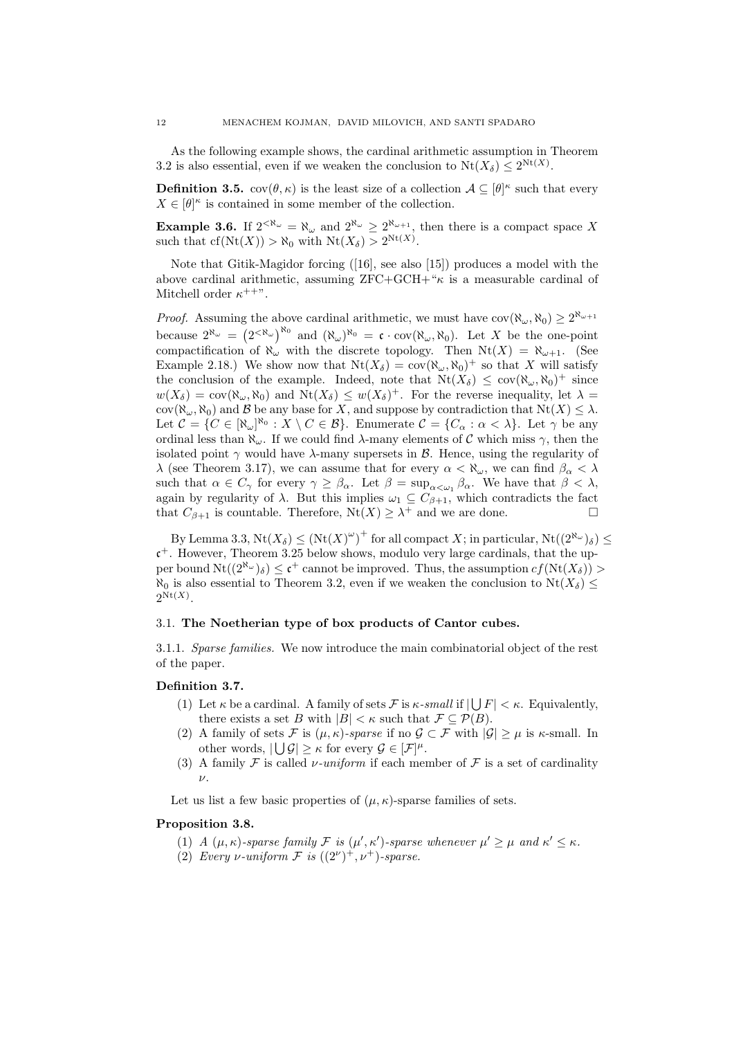As the following example shows, the cardinal arithmetic assumption in Theorem 3.2 is also essential, even if we weaken the conclusion to  $Nt(X_\delta) \leq 2^{Nt(X)}$ .

**Definition 3.5.**  $cov(\theta, \kappa)$  is the least size of a collection  $\mathcal{A} \subseteq [\theta]^{\kappa}$  such that every  $X \in [\theta]^\kappa$  is contained in some member of the collection.

**Example 3.6.** If  $2^{<\aleph_\omega} = \aleph_\omega$  and  $2^{\aleph_\omega} \geq 2^{\aleph_{\omega+1}}$ , then there is a compact space X such that  $cf(Nt(X)) > \aleph_0$  with  $Nt(X_\delta) > 2^{Nt(X)}$ .

Note that Gitik-Magidor forcing ([16], see also [15]) produces a model with the above cardinal arithmetic, assuming  $ZFC+GCH+{}^{\kappa}\kappa$  is a measurable cardinal of Mitchell order  $\kappa^{++}$ ".

*Proof.* Assuming the above cardinal arithmetic, we must have  $cov(\aleph_{\omega}, \aleph_0) \geq 2^{\aleph_{\omega+1}}$ because  $2^{\aleph_{\omega}} = (2^{<\aleph_{\omega}})^{\aleph_0}$  and  $(\aleph_{\omega})^{\aleph_0} = \mathfrak{c} \cdot \text{cov}(\aleph_{\omega}, \aleph_0)$ . Let X be the one-point compactification of  $\aleph_{\omega}$  with the discrete topology. Then  $Nt(X) = \aleph_{\omega+1}$ . (See Example 2.18.) We show now that  $Nt(X_\delta) = \text{cov}(\aleph_\omega, \aleph_0)^+$  so that X will satisfy the conclusion of the example. Indeed, note that  $Nt(X_\delta) \leq \text{cov}(\aleph_\omega, \aleph_0)^+$  since  $w(X_\delta) = \text{cov}(\aleph_\omega, \aleph_0)$  and  $\text{Nt}(X_\delta) \leq w(X_\delta)^+$ . For the reverse inequality, let  $\lambda =$ cov( $\aleph_{\omega}$ ,  $\aleph_0$ ) and  $\beta$  be any base for X, and suppose by contradiction that  $Nt(X) \leq \lambda$ . Let  $\mathcal{C} = \{C \in [\aleph_{\omega}]^{\aleph_0} : X \setminus C \in \mathcal{B}\}.$  Enumerate  $\mathcal{C} = \{C_{\alpha} : \alpha < \lambda\}.$  Let  $\gamma$  be any ordinal less than  $\aleph_{\omega}$ . If we could find  $\lambda$ -many elements of C which miss  $\gamma$ , then the isolated point  $\gamma$  would have  $\lambda$ -many supersets in  $\beta$ . Hence, using the regularity of λ (see Theorem 3.17), we can assume that for every  $\alpha < \aleph_{\omega}$ , we can find  $\beta_{\alpha} < \lambda$ such that  $\alpha \in C_{\gamma}$  for every  $\gamma \geq \beta_{\alpha}$ . Let  $\beta = \sup_{\alpha \leq \omega_1} \beta_{\alpha}$ . We have that  $\beta < \lambda$ , again by regularity of  $\lambda$ . But this implies  $\omega_1 \subseteq C_{\beta+1}$ , which contradicts the fact that  $C_{\beta+1}$  is countable. Therefore,  $Nt(X) \geq \lambda^+$  and we are done.

By Lemma 3.3,  $Nt(X_\delta) \leq (Nt(X)^\omega)^+$  for all compact X; in particular,  $Nt((2^{\aleph_\omega})_\delta) \leq$  $c<sup>+</sup>$ . However, Theorem 3.25 below shows, modulo very large cardinals, that the upper bound  $Nt((2^{\aleph_{\omega}})_{\delta}) \leq \mathfrak{c}^+$  cannot be improved. Thus, the assumption  $cf(Nt(X_{\delta})) >$  $\aleph_0$  is also essential to Theorem 3.2, even if we weaken the conclusion to  $Nt(X_\delta) \leq$  $2^{\mathrm{Nt}(X)}$ .

### 3.1. The Noetherian type of box products of Cantor cubes.

3.1.1. Sparse families. We now introduce the main combinatorial object of the rest of the paper.

### Definition 3.7.

- (1) Let  $\kappa$  be a cardinal. A family of sets  $\mathcal F$  is  $\kappa$ -small if  $|\bigcup F| < \kappa$ . Equivalently, there exists a set B with  $|B| < \kappa$  such that  $\mathcal{F} \subseteq \mathcal{P}(B)$ .
- (2) A family of sets F is  $(\mu, \kappa)$ -sparse if no  $\mathcal{G} \subset \mathcal{F}$  with  $|\mathcal{G}| \geq \mu$  is  $\kappa$ -small. In other words,  $|\bigcup \mathcal{G}| \geq \kappa$  for every  $\mathcal{G} \in [\mathcal{F}]^{\mu}$ .
- (3) A family F is called *v*-uniform if each member of F is a set of cardinality ν.

Let us list a few basic properties of  $(\mu, \kappa)$ -sparse families of sets.

### Proposition 3.8.

- (1) A  $(\mu, \kappa)$ -sparse family F is  $(\mu', \kappa')$ -sparse whenever  $\mu' \ge \mu$  and  $\kappa' \le \kappa$ .
- (2) Every v-uniform  $\mathcal F$  is  $((2^{\nu})^+, \nu^+)$ -sparse.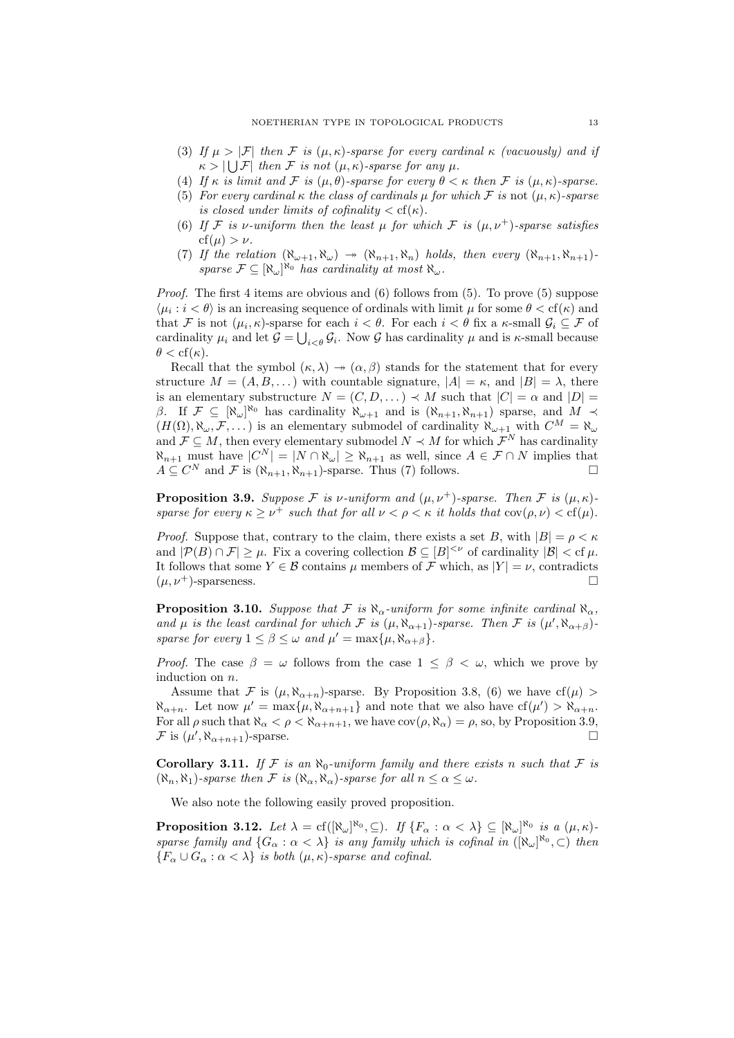- (3) If  $\mu > |\mathcal{F}|$  then F is  $(\mu, \kappa)$ -sparse for every cardinal  $\kappa$  (vacuously) and if  $\kappa > |\bigcup \mathcal{F}|$  then F is not  $(\mu, \kappa)$ -sparse for any  $\mu$ .
- (4) If  $\kappa$  is limit and  $\mathcal F$  is  $(\mu, \theta)$ -sparse for every  $\theta < \kappa$  then  $\mathcal F$  is  $(\mu, \kappa)$ -sparse.
- (5) For every cardinal  $\kappa$  the class of cardinals  $\mu$  for which F is not  $(\mu, \kappa)$ -sparse is closed under limits of cofinality  $\langle c(f(\kappa)))$
- (6) If F is v-uniform then the least  $\mu$  for which F is  $(\mu, \nu^+)$ -sparse satisfies  $cf(\mu) > \nu$ .
- (7) If the relation  $(\aleph_{\omega+1}, \aleph_{\omega}) \rightarrow (\aleph_{n+1}, \aleph_n)$  holds, then every  $(\aleph_{n+1}, \aleph_{n+1})$ sparse  $\mathcal{F} \subseteq [\aleph_\omega]^{\aleph_0}$  has cardinality at most  $\aleph_\omega$ .

*Proof.* The first 4 items are obvious and  $(6)$  follows from  $(5)$ . To prove  $(5)$  suppose  $\langle \mu_i : i < \theta \rangle$  is an increasing sequence of ordinals with limit  $\mu$  for some  $\theta < \text{cf}(\kappa)$  and that F is not  $(\mu_i, \kappa)$ -sparse for each  $i < \theta$ . For each  $i < \theta$  fix a  $\kappa$ -small  $\mathcal{G}_i \subseteq \mathcal{F}$  of cardinality  $\mu_i$  and let  $\mathcal{G} = \bigcup_{i < \theta} \mathcal{G}_i$ . Now  $\mathcal{G}$  has cardinality  $\mu$  and is  $\kappa$ -small because  $\theta < \mathrm{cf}(\kappa)$ .

Recall that the symbol  $(\kappa, \lambda) \rightarrow (\alpha, \beta)$  stands for the statement that for every structure  $M = (A, B, \dots)$  with countable signature,  $|A| = \kappa$ , and  $|B| = \lambda$ , there is an elementary substructure  $N = (C, D, \dots) \prec M$  such that  $|C| = \alpha$  and  $|D| =$ β. If  $\mathcal{F} \subseteq [\aleph_{\omega}]^{\aleph_0}$  has cardinality  $\aleph_{\omega+1}$  and is  $(\aleph_{n+1}, \aleph_{n+1})$  sparse, and  $M \prec$  $(H(\Omega), \aleph_{\omega}, \mathcal{F}, \ldots)$  is an elementary submodel of cardinality  $\aleph_{\omega+1}$  with  $C^M = \aleph_{\omega}$ and  $\mathcal{F} \subseteq M$ , then every elementary submodel  $N \prec M$  for which  $\mathcal{F}^N$  has cardinality  $\aleph_{n+1}$  must have  $|C^N| = |N \cap \aleph_\omega| \ge \aleph_{n+1}$  as well, since  $A \in \mathcal{F} \cap N$  implies that  $A \subseteq C^N$  and  $\mathcal F$  is  $(\aleph_{n+1}, \aleph_{n+1})$ -sparse. Thus (7) follows.

**Proposition 3.9.** Suppose F is v-uniform and  $(\mu, \nu^+)$ -sparse. Then F is  $(\mu, \kappa)$ sparse for every  $\kappa \geq \nu^+$  such that for all  $\nu < \rho < \kappa$  it holds that  $\text{cov}(\rho, \nu) < \text{cf}(\mu)$ .

*Proof.* Suppose that, contrary to the claim, there exists a set B, with  $|B| = \rho < \kappa$ and  $|\mathcal{P}(B) \cap \mathcal{F}| \geq \mu$ . Fix a covering collection  $\mathcal{B} \subseteq [B]^{<\nu}$  of cardinality  $|\mathcal{B}| < cf \mu$ . It follows that some  $Y \in \mathcal{B}$  contains  $\mu$  members of  $\mathcal{F}$  which, as  $|Y| = \nu$ , contradicts  $(\mu, \nu^+)$ -sparseness.

**Proposition 3.10.** Suppose that F is  $\aleph_{\alpha}$ -uniform for some infinite cardinal  $\aleph_{\alpha}$ , and  $\mu$  is the least cardinal for which F is  $(\mu, \aleph_{\alpha+1})$ -sparse. Then F is  $(\mu', \aleph_{\alpha+\beta})$ sparse for every  $1 \leq \beta \leq \omega$  and  $\mu' = \max{\{\mu, \aleph_{\alpha+\beta}\}}$ .

*Proof.* The case  $\beta = \omega$  follows from the case  $1 \leq \beta < \omega$ , which we prove by induction on n.

Assume that F is  $(\mu, \aleph_{\alpha+n})$ -sparse. By Proposition 3.8, (6) we have cf( $\mu$ ) >  $\aleph_{\alpha+n}$ . Let now  $\mu' = \max\{\mu, \aleph_{\alpha+n+1}\}\$  and note that we also have  $cf(\mu') > \aleph_{\alpha+n}$ . For all  $\rho$  such that  $\aleph_{\alpha} < \rho < \aleph_{\alpha+n+1}$ , we have  $cov(\rho, \aleph_{\alpha}) = \rho$ , so, by Proposition 3.9, F is  $(\mu', \aleph_{\alpha+n+1})$ -sparse.

Corollary 3.11. If F is an  $\aleph_0$ -uniform family and there exists n such that F is  $(\aleph_n, \aleph_1)$ -sparse then F is  $(\aleph_\alpha, \aleph_\alpha)$ -sparse for all  $n \leq \alpha \leq \omega$ .

We also note the following easily proved proposition.

**Proposition 3.12.** Let  $\lambda = cf([\aleph_\omega]^{\aleph_0}, \subseteq)$ . If  $\{F_\alpha : \alpha < \lambda\} \subseteq [\aleph_\omega]^{\aleph_0}$  is a  $(\mu, \kappa)$ . sparse family and  $\{G_\alpha : \alpha < \lambda\}$  is any family which is cofinal in  $([\aleph_\omega]^{R_0}, \subset)$  then  ${F_\alpha \cup G_\alpha : \alpha < \lambda}$  is both  $(\mu, \kappa)$ -sparse and cofinal.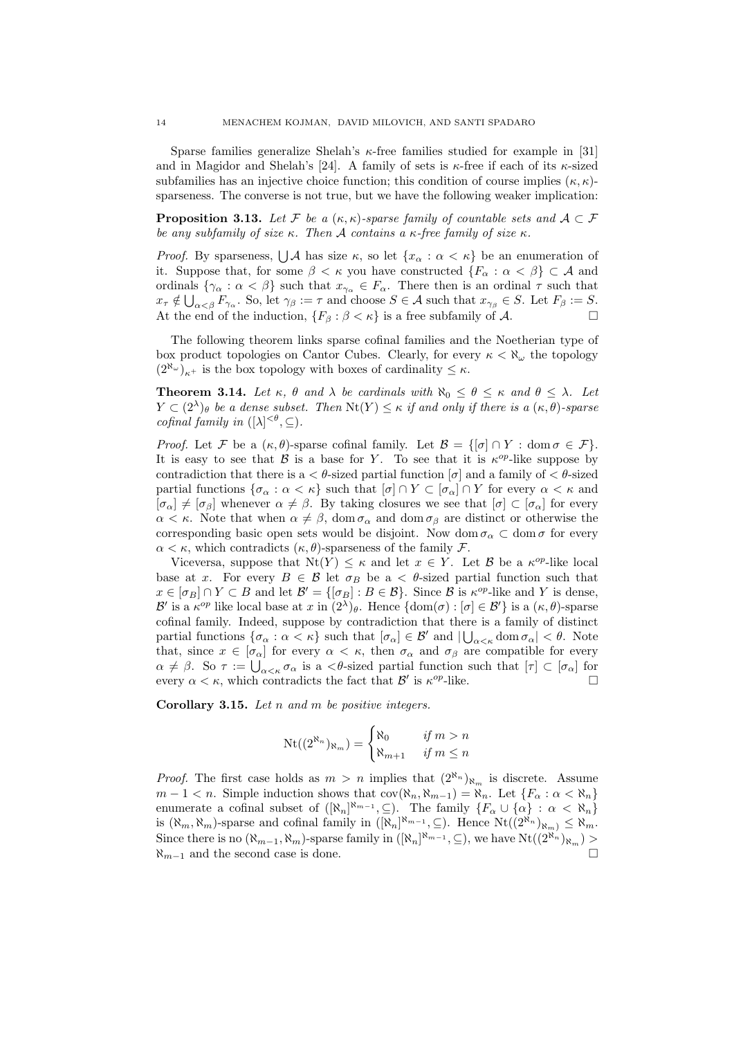Sparse families generalize Shelah's  $\kappa$ -free families studied for example in [31] and in Magidor and Shelah's [24]. A family of sets is  $\kappa$ -free if each of its  $\kappa$ -sized subfamilies has an injective choice function; this condition of course implies  $(\kappa, \kappa)$ sparseness. The converse is not true, but we have the following weaker implication:

**Proposition 3.13.** Let F be a  $(\kappa, \kappa)$ -sparse family of countable sets and  $A \subset \mathcal{F}$ be any subfamily of size  $\kappa$ . Then A contains a  $\kappa$ -free family of size  $\kappa$ .

*Proof.* By sparseness,  $\bigcup \mathcal{A}$  has size  $\kappa$ , so let  $\{x_\alpha : \alpha < \kappa\}$  be an enumeration of it. Suppose that, for some  $\beta < \kappa$  you have constructed  $\{F_\alpha : \alpha < \beta\} \subset \mathcal{A}$  and ordinals  $\{\gamma_{\alpha}: \alpha < \beta\}$  such that  $x_{\gamma_{\alpha}} \in F_{\alpha}$ . There then is an ordinal  $\tau$  such that  $x_{\tau} \notin \bigcup_{\alpha < \beta} F_{\gamma_{\alpha}}$ . So, let  $\gamma_{\beta} := \tau$  and choose  $S \in \mathcal{A}$  such that  $x_{\gamma_{\beta}} \in S$ . Let  $F_{\beta} := S$ . At the end of the induction,  $\{F_\beta : \beta < \kappa\}$  is a free subfamily of A.

The following theorem links sparse cofinal families and the Noetherian type of box product topologies on Cantor Cubes. Clearly, for every  $\kappa < \aleph_\omega$  the topology  $(2^{\aleph_{\omega}})_{\kappa^+}$  is the box topology with boxes of cardinality  $\leq \kappa$ .

**Theorem 3.14.** Let  $\kappa$ ,  $\theta$  and  $\lambda$  be cardinals with  $\aleph_0 \leq \theta \leq \kappa$  and  $\theta \leq \lambda$ . Let  $Y \subset (2^{\lambda})_{\theta}$  be a dense subset. Then  $\text{Nt}(Y) \leq \kappa$  if and only if there is a  $(\kappa, \theta)$ -sparse cofinal family in  $([\lambda]^{<\theta}, \subseteq)$ .

*Proof.* Let F be a  $(\kappa, \theta)$ -sparse cofinal family. Let  $\mathcal{B} = \{[\sigma] \cap Y : \text{dom } \sigma \in \mathcal{F}\}.$ It is easy to see that B is a base for Y. To see that it is  $\kappa^{op}$ -like suppose by contradiction that there is a  $\lt \theta$ -sized partial function  $[\sigma]$  and a family of  $\lt \theta$ -sized partial functions  $\{\sigma_\alpha : \alpha < \kappa\}$  such that  $[\sigma] \cap Y \subset [\sigma_\alpha] \cap Y$  for every  $\alpha < \kappa$  and  $[\sigma_{\alpha}] \neq [\sigma_{\beta}]$  whenever  $\alpha \neq \beta$ . By taking closures we see that  $[\sigma] \subset [\sigma_{\alpha}]$  for every  $\alpha < \kappa$ . Note that when  $\alpha \neq \beta$ , dom  $\sigma_{\alpha}$  and dom  $\sigma_{\beta}$  are distinct or otherwise the corresponding basic open sets would be disjoint. Now dom  $\sigma_{\alpha} \subset \text{dom }\sigma$  for every  $\alpha < \kappa$ , which contradicts  $(\kappa, \theta)$ -sparseness of the family F.

Viceversa, suppose that  $Nt(Y) \leq \kappa$  and let  $x \in Y$ . Let  $\beta$  be a  $\kappa^{op}$ -like local base at x. For every  $B \in \mathcal{B}$  let  $\sigma_B$  be a  $\lt \theta$ -sized partial function such that  $x \in [\sigma_B] \cap Y \subset B$  and let  $\mathcal{B}' = {\{\sigma_B\} : B \in \mathcal{B}\}\.$  Since  $\mathcal{B}$  is  $\kappa^{op}\text{-like}$  and Y is dense, B' is a  $\kappa^{op}$  like local base at x in  $(2^{\lambda})_{\theta}$ . Hence  $\{\text{dom}(\sigma): [\sigma] \in \mathcal{B}'\}$  is a  $(\kappa, \theta)$ -sparse cofinal family. Indeed, suppose by contradiction that there is a family of distinct partial functions  $\{\sigma_{\alpha} : \alpha < \kappa\}$  such that  $[\sigma_{\alpha}] \in \mathcal{B}'$  and  $|\bigcup_{\alpha < \kappa} \text{dom } \sigma_{\alpha}| < \theta$ . Note that, since  $x \in [\sigma_\alpha]$  for every  $\alpha < \kappa$ , then  $\sigma_\alpha$  and  $\sigma_\beta$  are compatible for every  $\alpha \neq \beta$ . So  $\tau := \bigcup_{\alpha < \kappa} \sigma_{\alpha}$  is a  $\langle \theta \rangle$ -sized partial function such that  $[\tau] \subset [\sigma_{\alpha}]$  for every  $\alpha < \kappa$ , which contradicts the fact that  $\mathcal{B}'$  is  $\kappa^{op}$ -like.

**Corollary 3.15.** Let  $n$  and  $m$  be positive integers.

$$
\mathrm{Nt}((2^{\aleph_n})_{\aleph_m}) = \begin{cases} \aleph_0 & \text{if } m > n \\ \aleph_{m+1} & \text{if } m \le n \end{cases}
$$

*Proof.* The first case holds as  $m > n$  implies that  $(2^{\aleph_n})_{\aleph_m}$  is discrete. Assume  $m-1 < n$ . Simple induction shows that  $cov(\aleph_n, \aleph_{m-1}) = \aleph_n$ . Let  $\{F_\alpha : \alpha < \aleph_n\}$ enumerate a cofinal subset of  $([\aleph_n]^{\aleph_{m-1}}, \subseteq)$ . The family  $\{F_\alpha \cup \{\alpha\} : \alpha < \aleph_n\}$ is  $(\aleph_m, \aleph_m)$ -sparse and cofinal family in  $([\aleph_n]^{\aleph_{m-1}}, \subseteq)$ . Hence  $\text{Nt}((2^{\aleph_n})_{\aleph_m}) \leq \aleph_m$ . Since there is no  $(\aleph_{m-1}, \aleph_m)$ -sparse family in  $([\aleph_n]^{\aleph_{m-1}}, \subseteq)$ , we have  $\text{Nt}((2^{\aleph_n})_{\aleph_m}) >$  $\aleph_{m-1}$  and the second case is done.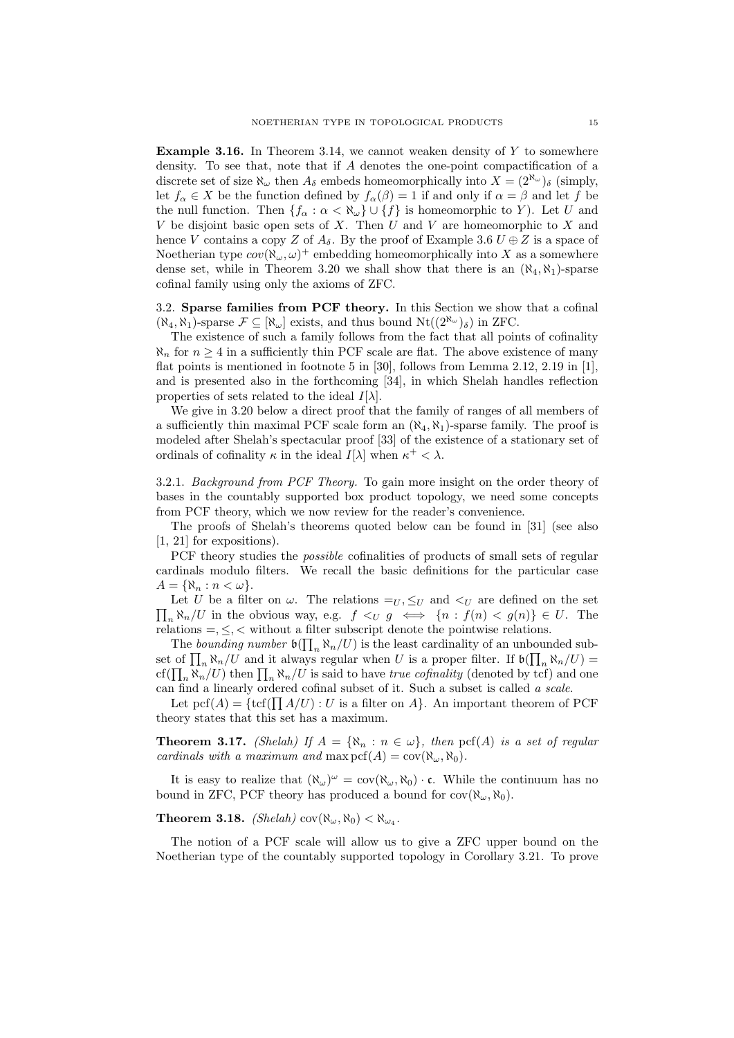**Example 3.16.** In Theorem 3.14, we cannot weaken density of  $Y$  to somewhere density. To see that, note that if A denotes the one-point compactification of a discrete set of size  $\aleph_{\omega}$  then  $A_{\delta}$  embeds homeomorphically into  $X = (2^{\aleph_{\omega}})_{\delta}$  (simply, let  $f_\alpha \in X$  be the function defined by  $f_\alpha(\beta) = 1$  if and only if  $\alpha = \beta$  and let f be the null function. Then  $\{f_{\alpha} : \alpha < \aleph_{\omega}\} \cup \{f\}$  is homeomorphic to Y). Let U and V be disjoint basic open sets of X. Then  $U$  and  $V$  are homeomorphic to  $X$  and hence V contains a copy Z of  $A_{\delta}$ . By the proof of Example 3.6  $U \oplus Z$  is a space of Noetherian type  $cov(\aleph_{\omega}, \omega)^+$  embedding homeomorphically into X as a somewhere dense set, while in Theorem 3.20 we shall show that there is an  $(\aleph_4, \aleph_1)$ -sparse cofinal family using only the axioms of ZFC.

3.2. Sparse families from PCF theory. In this Section we show that a cofinal  $(\aleph_4, \aleph_1)$ -sparse  $\mathcal{F} \subseteq [\aleph_\omega]$  exists, and thus bound  $\text{Nt}((2^{\aleph_\omega})_\delta)$  in ZFC.

The existence of such a family follows from the fact that all points of cofinality  $\aleph_n$  for  $n \geq 4$  in a sufficiently thin PCF scale are flat. The above existence of many flat points is mentioned in footnote 5 in [30], follows from Lemma 2.12, 2.19 in [1], and is presented also in the forthcoming [34], in which Shelah handles reflection properties of sets related to the ideal  $I[\lambda]$ .

We give in 3.20 below a direct proof that the family of ranges of all members of a sufficiently thin maximal PCF scale form an  $(\aleph_4, \aleph_1)$ -sparse family. The proof is modeled after Shelah's spectacular proof [33] of the existence of a stationary set of ordinals of cofinality  $\kappa$  in the ideal  $I[\lambda]$  when  $\kappa^+ < \lambda$ .

3.2.1. Background from PCF Theory. To gain more insight on the order theory of bases in the countably supported box product topology, we need some concepts from PCF theory, which we now review for the reader's convenience.

The proofs of Shelah's theorems quoted below can be found in [31] (see also [1, 21] for expositions).

PCF theory studies the possible cofinalities of products of small sets of regular cardinals modulo filters. We recall the basic definitions for the particular case  $A = \{ \aleph_n : n < \omega \}.$ 

 $\prod_n \aleph_n/U$  in the obvious way, e.g.  $f \lt_U g \iff \{n : f(n) < g(n)\} \in U$ . The Let U be a filter on  $\omega$ . The relations  $=_U, \leq_U$  and  $<_U$  are defined on the set relations  $=$ ,  $\leq$ ,  $\lt$  without a filter subscript denote the pointwise relations.

The bounding number  $\mathfrak{b}(\prod_n \aleph_n/U)$  is the least cardinality of an unbounded subset of  $\prod_n \aleph_n/U$  and it always regular when U is a proper filter. If  $\mathfrak{b}(\prod_n \aleph_n/U)$  = cf( $\prod_n \aleph_n/U$ ) then  $\prod_n \aleph_n/U$  is said to have *true cofinality* (denoted by tcf) and one can find a linearly ordered cofinal subset of it. Such a subset is called a scale.

Let  $\text{pcf}(A)=\{\text{tcf}(\prod A/U): U \text{ is a filter on } A\}$ . An important theorem of PCF theory states that this set has a maximum.

**Theorem 3.17.** (Shelah) If  $A = {\aleph_n : n \in \omega}$ , then pcf(A) is a set of regular cardinals with a maximum and max  $\text{pcf}(A)=\text{cov}(\aleph_\omega,\aleph_0)$ .

It is easy to realize that  $(\aleph_{\omega})^{\omega} = \text{cov}(\aleph_{\omega}, \aleph_0) \cdot \mathfrak{c}$ . While the continuum has no bound in ZFC, PCF theory has produced a bound for  $cov(\aleph_{\omega}, \aleph_0)$ .

**Theorem 3.18.** (Shelah)  $cov(\aleph_{\omega}, \aleph_0) < \aleph_{\omega_4}$ .

The notion of a PCF scale will allow us to give a ZFC upper bound on the Noetherian type of the countably supported topology in Corollary 3.21. To prove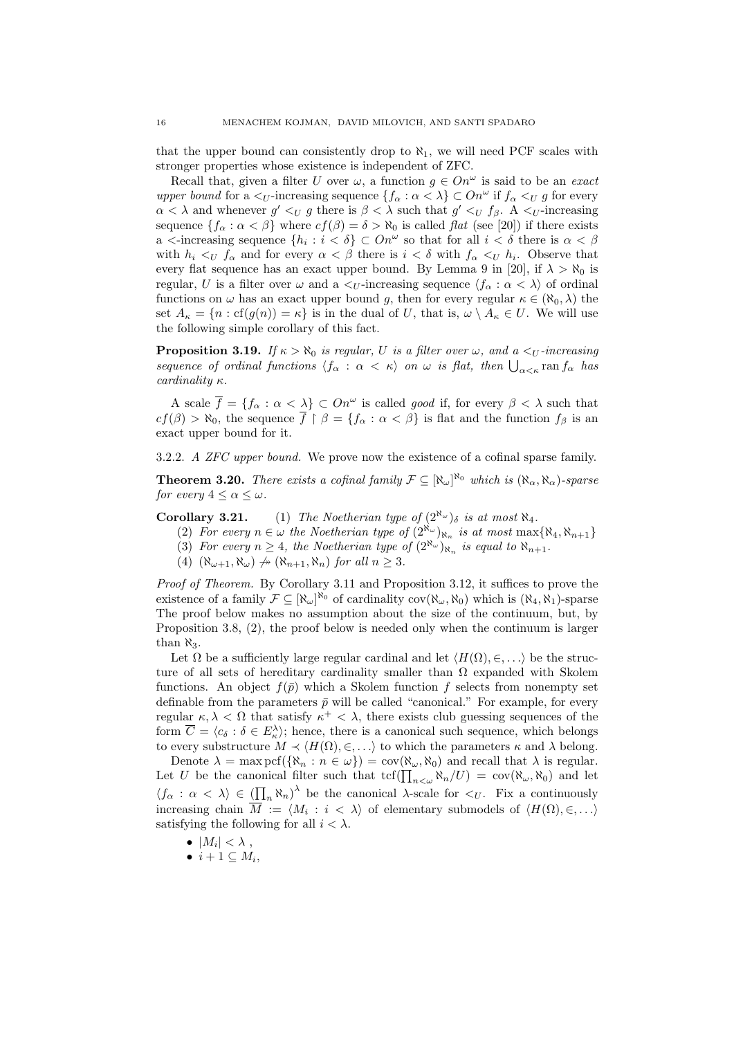that the upper bound can consistently drop to  $\aleph_1$ , we will need PCF scales with stronger properties whose existence is independent of ZFC.

Recall that, given a filter U over  $\omega$ , a function  $g \in On^{\omega}$  is said to be an *exact* upper bound for a  $\lt_U$ -increasing sequence  $\{f_\alpha : \alpha \lt \lambda\} \subset On^\omega$  if  $f_\alpha \lt_U g$  for every  $\alpha < \lambda$  and whenever  $g' <_{U} g$  there is  $\beta < \lambda$  such that  $g' <_{U} f_{\beta}$ . A  $\leq_{U}$ -increasing sequence  $\{f_\alpha : \alpha < \beta\}$  where  $cf(\beta) = \delta > \aleph_0$  is called flat (see [20]) if there exists a  $\lt$ -increasing sequence  $\{h_i : i \lt \delta\} \subset On^{\omega}$  so that for all  $i \lt \delta$  there is  $\alpha \lt \beta$ with  $h_i \lt_U f_\alpha$  and for every  $\alpha \lt \beta$  there is  $i \lt \delta$  with  $f_\alpha \lt_U h_i$ . Observe that every flat sequence has an exact upper bound. By Lemma 9 in [20], if  $\lambda > \aleph_0$  is regular, U is a filter over  $\omega$  and a  $\langle U$ -increasing sequence  $\langle f_\alpha : \alpha \langle \lambda \rangle$  of ordinal functions on  $\omega$  has an exact upper bound g, then for every regular  $\kappa \in (\aleph_0, \lambda)$  the set  $A_{\kappa} = \{n : cf(g(n)) = \kappa\}$  is in the dual of U, that is,  $\omega \setminus A_{\kappa} \in U$ . We will use the following simple corollary of this fact.

**Proposition 3.19.** If  $\kappa > \aleph_0$  is regular, U is a filter over  $\omega$ , and a  $\lt_U$ -increasing sequence of ordinal functions  $\langle f_\alpha : \alpha < \kappa \rangle$  on  $\omega$  is flat, then  $\bigcup_{\alpha < \kappa} \text{ran } f_\alpha$  has cardinality  $\kappa$ .

A scale  $\overline{f} = \{f_{\alpha} : \alpha < \lambda\} \subset On^{\omega}$  is called *good* if, for every  $\beta < \lambda$  such that  $cf(\beta) > \aleph_0$ , the sequence  $\overline{f} \restriction \beta = \{f_\alpha : \alpha < \beta\}$  is flat and the function  $f_\beta$  is an exact upper bound for it.

3.2.2. A ZFC upper bound. We prove now the existence of a cofinal sparse family.

**Theorem 3.20.** There exists a cofinal family  $\mathcal{F} \subseteq [\aleph_\omega]^{\aleph_0}$  which is  $(\aleph_\alpha, \aleph_\alpha)$ -sparse for every  $4 \leq \alpha \leq \omega$ .

**Corollary 3.21.** (1) The Noetherian type of  $(2^{\aleph_{\omega}})_{\delta}$  is at most  $\aleph_4$ .

- (2) For every  $n \in \omega$  the Noetherian type of  $(2^{\aleph_{\omega}})_{\aleph_n}$  is at most  $\max\{\aleph_4, \aleph_{n+1}\}$
- (3) For every  $n \geq 4$ , the Noetherian type of  $(2^{\aleph_{\omega}})_{\aleph_n}$  is equal to  $\aleph_{n+1}$ .
- (4)  $(\aleph_{\omega+1}, \aleph_{\omega}) \nrightarrow (\aleph_{n+1}, \aleph_n)$  for all  $n \geq 3$ .

Proof of Theorem. By Corollary 3.11 and Proposition 3.12, it suffices to prove the existence of a family  $\mathcal{F} \subseteq [\aleph_{\omega}]^{\aleph_0}$  of cardinality  $cov(\aleph_{\omega}, \aleph_0)$  which is  $(\aleph_4, \aleph_1)$ -sparse The proof below makes no assumption about the size of the continuum, but, by Proposition 3.8, (2), the proof below is needed only when the continuum is larger than  $\aleph_3$ .

Let  $\Omega$  be a sufficiently large regular cardinal and let  $\langle H(\Omega), \in, \ldots \rangle$  be the structure of all sets of hereditary cardinality smaller than  $\Omega$  expanded with Skolem functions. An object  $f(\bar{p})$  which a Skolem function f selects from nonempty set definable from the parameters  $\bar{p}$  will be called "canonical." For example, for every regular  $\kappa, \lambda < \Omega$  that satisfy  $\kappa^+ < \lambda$ , there exists club guessing sequences of the form  $\overline{C} = \langle c_{\delta} : \delta \in E_{\kappa}^{\lambda} \rangle$ ; hence, there is a canonical such sequence, which belongs to every substructure  $M \prec \langle H(\Omega), \in, \ldots \rangle$  to which the parameters  $\kappa$  and  $\lambda$  belong.

Denote  $\lambda = \max \mathrm{pcf}(\{\aleph_n : n \in \omega\}) = \mathrm{cov}(\aleph_\omega, \aleph_0)$  and recall that  $\lambda$  is regular. Let U be the canonical filter such that  $\text{tcf}(\prod_{n<\omega} \aleph_n/U) = \text{cov}(\aleph_\omega, \aleph_0)$  and let  $\langle f_{\alpha} : \alpha \langle \lambda \rangle \in (\prod_{n} \aleph_n)^{\lambda}$  be the canonical  $\lambda$ -scale for  $\langle U \rangle$ . Fix a continuously increasing chain  $M := \langle M_i : i \langle \lambda \rangle$  of elementary submodels of  $\langle H(\Omega), \in, \ldots \rangle$ satisfying the following for all  $i < \lambda$ .

- $\bullet$   $|M_i| < \lambda$ ,
- $\bullet i+1 \subseteq M_i,$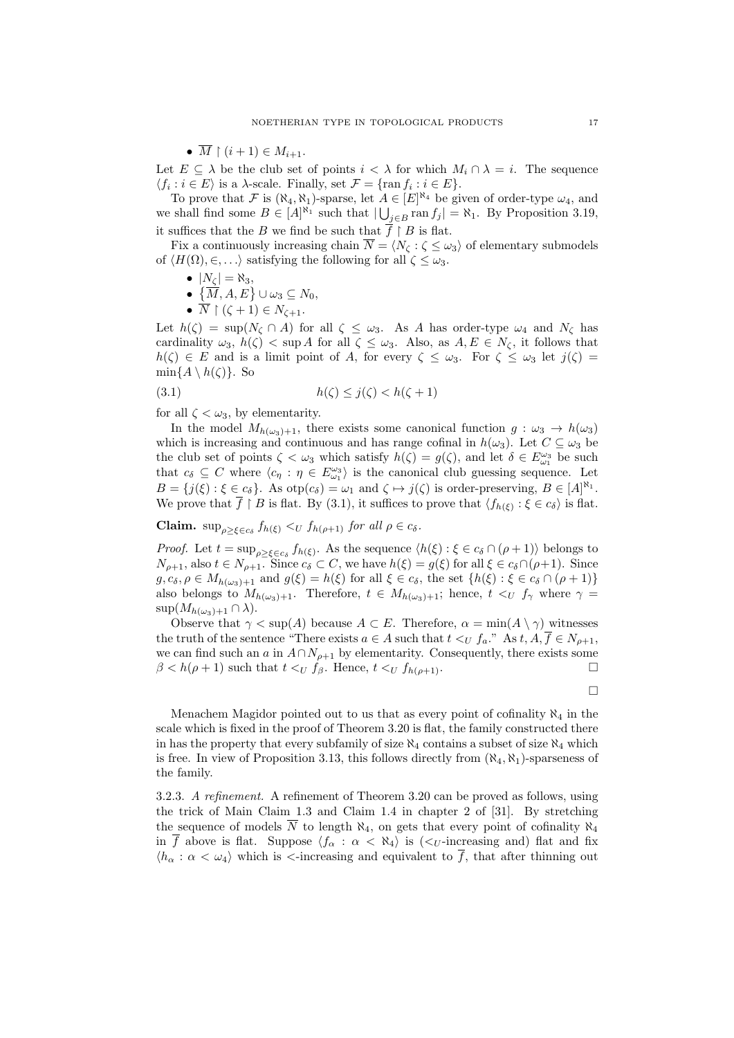•  $\overline{M} \restriction (i+1) \in M_{i+1}$ .

Let  $E \subseteq \lambda$  be the club set of points  $i < \lambda$  for which  $M_i \cap \lambda = i$ . The sequence  $\langle f_i : i \in E \rangle$  is a  $\lambda$ -scale. Finally, set  $\mathcal{F} = {\text{ran } f_i : i \in E}.$ 

To prove that F is  $(\aleph_4, \aleph_1)$ -sparse, let  $A \in [E]^{\aleph_4}$  be given of order-type  $\omega_4$ , and we shall find some  $B \in [A]^{\aleph_1}$  such that  $|\bigcup_{j \in B} \text{ran } f_j| = \aleph_1$ . By Proposition 3.19, it suffices that the B we find be such that  $\overline{f} \restriction B$  is flat.

Fix a continuously increasing chain  $\overline{N} = \langle N_{\zeta} : \zeta \leq \omega_3 \rangle$  of elementary submodels of  $\langle H(\Omega), \in, \ldots \rangle$  satisfying the following for all  $\zeta \leq \omega_3$ .

 $\bullet$   $|N_{\zeta}| = \aleph_3,$ 

 $\bullet \ \{\overline{M},A,E\} \cup \omega_3 \subseteq N_0,$ 

•  $\overline{N} \upharpoonright (\zeta + 1) \in N_{\zeta + 1}.$ 

Let  $h(\zeta) = \sup(N_{\zeta} \cap A)$  for all  $\zeta \leq \omega_3$ . As A has order-type  $\omega_4$  and  $N_{\zeta}$  has cardinality  $\omega_3$ ,  $h(\zeta) < \sup A$  for all  $\zeta \leq \omega_3$ . Also, as  $A, E \in N_\zeta$ , it follows that  $h(\zeta) \in E$  and is a limit point of A, for every  $\zeta \leq \omega_3$ . For  $\zeta \leq \omega_3$  let  $j(\zeta) =$  $\min\{A \setminus h(\zeta)\}.$  So

$$
(3.1) \qquad \qquad h(\zeta) \le j(\zeta) < h(\zeta + 1)
$$

for all  $\zeta < \omega_3$ , by elementarity.

In the model  $M_{h(\omega_3)+1}$ , there exists some canonical function  $g : \omega_3 \to h(\omega_3)$ which is increasing and continuous and has range cofinal in  $h(\omega_3)$ . Let  $C \subseteq \omega_3$  be the club set of points  $\zeta < \omega_3$  which satisfy  $h(\zeta) = g(\zeta)$ , and let  $\delta \in E_{\omega_1}^{\omega_3}$  be such that  $c_{\delta} \subseteq C$  where  $\langle c_{\eta} : \eta \in E_{\omega_1}^{\omega_3} \rangle$  is the canonical club guessing sequence. Let  $B = \{j(\xi) : \xi \in c_{\delta}\}\$ . As  $otp(c_{\delta}) = \omega_1$  and  $\zeta \mapsto j(\zeta)$  is order-preserving,  $B \in [A]^{\aleph_1}$ . We prove that  $\overline{f} \restriction B$  is flat. By (3.1), it suffices to prove that  $\langle f_{h(\xi)} : \xi \in c_{\delta} \rangle$  is flat.

**Claim.**  $\sup_{\rho \geq \xi \in c_{\delta}} f_{h(\xi)} \leq U \ f_{h(\rho+1)} \text{ for all } \rho \in c_{\delta}.$ 

*Proof.* Let  $t = \sup_{\rho \geq \xi \in c_{\delta}} f_{h(\xi)}$ . As the sequence  $\langle h(\xi) : \xi \in c_{\delta} \cap (\rho + 1) \rangle$  belongs to  $N_{\rho+1}$ , also  $t \in N_{\rho+1}$ . Since  $c_{\delta} \subset C$ , we have  $h(\xi) = g(\xi)$  for all  $\xi \in c_{\delta} \cap (\rho+1)$ . Since  $g, c_{\delta}, \rho \in M_{h(\omega_3)+1}$  and  $g(\xi) = h(\xi)$  for all  $\xi \in c_{\delta}$ , the set  $\{h(\xi) : \xi \in c_{\delta} \cap (\rho + 1)\}\$ also belongs to  $M_{h(\omega_3)+1}$ . Therefore,  $t \in M_{h(\omega_3)+1}$ ; hence,  $t \leq_U f_\gamma$  where  $\gamma =$  $\sup(M_{h(\omega_3)+1}\cap\lambda).$ 

Observe that  $\gamma < \sup(A)$  because  $A \subset E$ . Therefore,  $\alpha = \min(A \setminus \gamma)$  witnesses the truth of the sentence "There exists  $a \in A$  such that  $t \leq_U f_a$ ." As  $t, A, f \in N_{\rho+1}$ , we can find such an a in  $A \cap N_{\rho+1}$  by elementarity. Consequently, there exists some  $\beta < h(\rho + 1)$  such that  $t <_U f_\beta$ . Hence,  $t <_U f_{h(\rho+1)}$ .

 $\Box$ 

Menachem Magidor pointed out to us that as every point of cofinality  $\aleph_4$  in the scale which is fixed in the proof of Theorem 3.20 is flat, the family constructed there in has the property that every subfamily of size  $\aleph_4$  contains a subset of size  $\aleph_4$  which is free. In view of Proposition 3.13, this follows directly from  $(\aleph_4, \aleph_1)$ -sparseness of the family.

3.2.3. A refinement. A refinement of Theorem 3.20 can be proved as follows, using the trick of Main Claim 1.3 and Claim 1.4 in chapter 2 of [31]. By stretching the sequence of models  $\overline{N}$  to length  $\aleph_4$ , on gets that every point of cofinality  $\aleph_4$ in  $\overline{f}$  above is flat. Suppose  $\langle f_{\alpha} : \alpha < \aleph_4 \rangle$  is  $\langle \langle U \rangle$ -increasing and) flat and fix  $\langle h_{\alpha} : \alpha < \omega_4 \rangle$  which is  $\langle$ -increasing and equivalent to  $\overline{f}$ , that after thinning out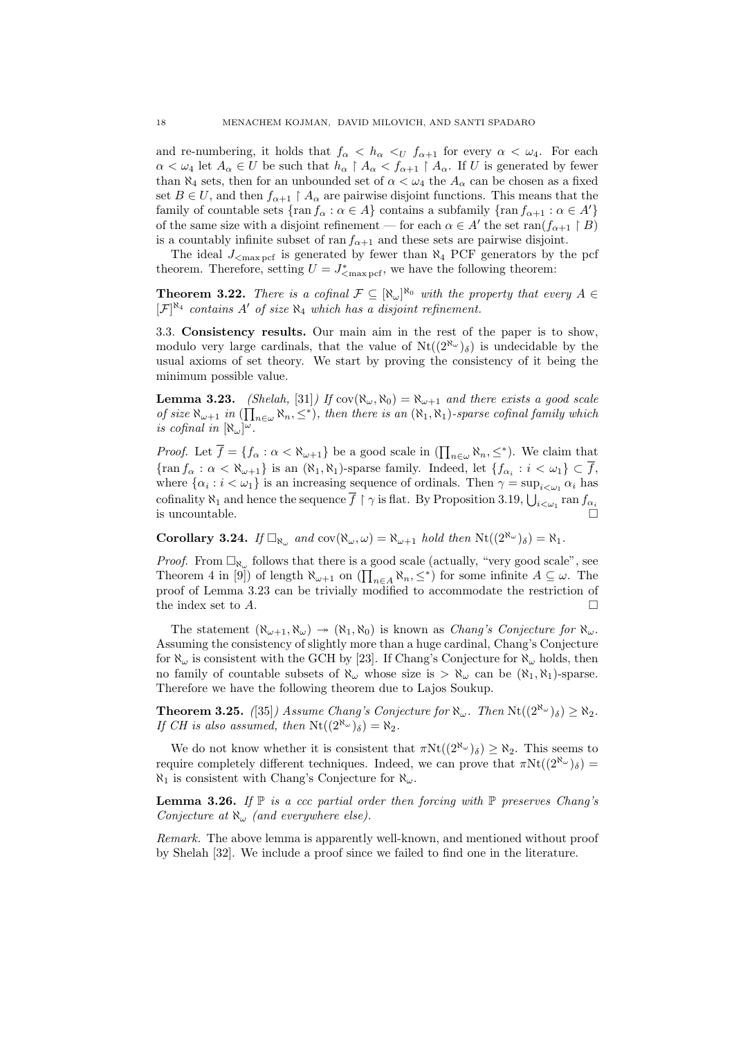and re-numbering, it holds that  $f_{\alpha} < h_{\alpha} <_{U} f_{\alpha+1}$  for every  $\alpha < \omega_4$ . For each  $\alpha < \omega_4$  let  $A_\alpha \in U$  be such that  $h_\alpha \restriction A_\alpha < f_{\alpha+1} \restriction A_\alpha$ . If U is generated by fewer than  $\aleph_4$  sets, then for an unbounded set of  $\alpha < \omega_4$  the  $A_\alpha$  can be chosen as a fixed set  $B \in U$ , and then  $f_{\alpha+1} \restriction A_\alpha$  are pairwise disjoint functions. This means that the family of countable sets  $\{\text{ran } f_{\alpha} : \alpha \in A\}$  contains a subfamily  $\{\text{ran } f_{\alpha+1} : \alpha \in A'\}$ of the same size with a disjoint refinement — for each  $\alpha \in A'$  the set ran $(f_{\alpha+1} \upharpoonright B)$ is a countably infinite subset of ran  $f_{\alpha+1}$  and these sets are pairwise disjoint.

The ideal  $J_{\rm{max\,per}}$  is generated by fewer than  $\aleph_4$  PCF generators by the pcf theorem. Therefore, setting  $U = J^*_{\text{max~perf}}$ , we have the following theorem:

**Theorem 3.22.** There is a cofinal  $\mathcal{F} \subseteq [\aleph_{\omega}]^{\aleph_0}$  with the property that every  $A \in$  $[\mathcal{F}]^{\aleph_4}$  contains A' of size  $\aleph_4$  which has a disjoint refinement.

3.3. Consistency results. Our main aim in the rest of the paper is to show, modulo very large cardinals, that the value of  $Nt((2^{\aleph_{\omega}})_{\delta})$  is undecidable by the usual axioms of set theory. We start by proving the consistency of it being the minimum possible value.

**Lemma 3.23.** (Shelah, [31]) If  $cov(\aleph_{\omega}, \aleph_0) = \aleph_{\omega+1}$  and there exists a good scale of size  $\aleph_{\omega+1}$  in  $(\prod_{n\in\omega}\aleph_n,\leq^*)$ , then there is an  $(\aleph_1,\aleph_1)$ -sparse cofinal family which is cofinal in  $[\aleph_{\omega}]^{\omega}$ .

*Proof.* Let  $\overline{f} = \{f_{\alpha} : \alpha < \aleph_{\omega+1}\}\$  be a good scale in  $(\prod_{n \in \omega} \aleph_n, \leq^*)$ . We claim that  $\{\tan f_{\alpha} : \alpha < \aleph_{\omega+1}\}\$ is an  $(\aleph_1, \aleph_1)$ -sparse family. Indeed, let  $\{f_{\alpha_i} : i < \omega_1\} \subset f$ , where  $\{\alpha_i : i < \omega_1\}$  is an increasing sequence of ordinals. Then  $\gamma = \sup_{i < \omega_1} \alpha_i$  has cofinality  $\aleph_1$  and hence the sequence  $\overline{f} \restriction \gamma$  is flat. By Proposition 3.19,  $\bigcup_{i < \omega_1} \text{ran } f_{\alpha_i}$ is uncountable.

**Corollary 3.24.** If  $\Box_{\aleph_{\omega}}$  and  $cov(\aleph_{\omega}, \omega) = \aleph_{\omega+1}$  hold then  $\text{Nt}((2^{\aleph_{\omega}})_{\delta}) = \aleph_1$ .

*Proof.* From  $\Box_{\aleph_{\omega}}$  follows that there is a good scale (actually, "very good scale", see Theorem 4 in [9]) of length  $\aleph_{\omega+1}$  on  $(\prod_{n\in A}\aleph_n,\leq^*)$  for some infinite  $A\subseteq\omega$ . The proof of Lemma 3.23 can be trivially modified to accommodate the restriction of the index set to A.

The statement  $(\aleph_{\omega+1}, \aleph_{\omega}) \rightarrow (\aleph_1, \aleph_0)$  is known as *Chang's Conjecture for*  $\aleph_{\omega}$ . Assuming the consistency of slightly more than a huge cardinal, Chang's Conjecture for  $\aleph_{\omega}$  is consistent with the GCH by [23]. If Chang's Conjecture for  $\aleph_{\omega}$  holds, then no family of countable subsets of  $\aleph_{\omega}$  whose size is  $>\aleph_{\omega}$  can be  $(\aleph_1, \aleph_1)$ -sparse. Therefore we have the following theorem due to Lajos Soukup.

**Theorem 3.25.** ([35]) Assume Chang's Conjecture for  $\aleph_{\omega}$ . Then  $Nt((2^{\aleph_{\omega}})_{\delta}) \geq \aleph_2$ . If CH is also assumed, then  $\text{Nt}((2^{\aleph_{\omega}})_{\delta}) = \aleph_2$ .

We do not know whether it is consistent that  $\pi Nt((2^{\aleph_{\omega}})_{\delta}) > \aleph_2$ . This seems to require completely different techniques. Indeed, we can prove that  $\pi Nt((2^{\aleph_{\omega}})_{\delta}) =$  $\aleph_1$  is consistent with Chang's Conjecture for  $\aleph_\omega$ .

**Lemma 3.26.** If  $\mathbb P$  is a ccc partial order then forcing with  $\mathbb P$  preserves Chang's Conjecture at  $\aleph_{\omega}$  (and everywhere else).

Remark. The above lemma is apparently well-known, and mentioned without proof by Shelah [32]. We include a proof since we failed to find one in the literature.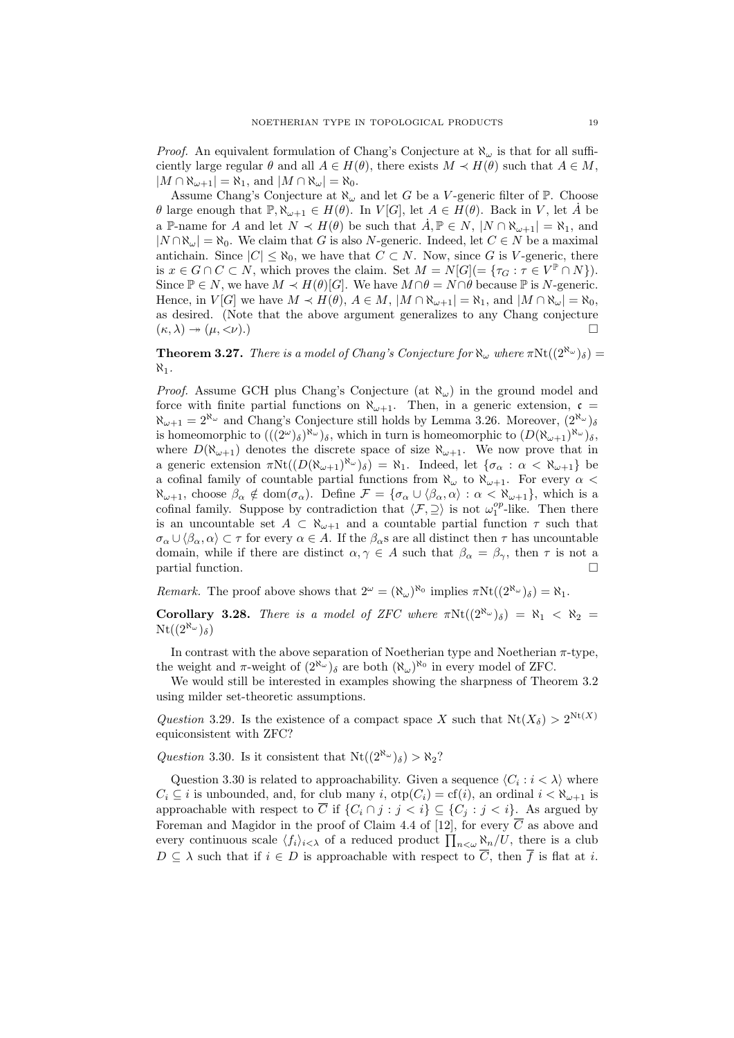*Proof.* An equivalent formulation of Chang's Conjecture at  $\aleph_\omega$  is that for all sufficiently large regular  $\theta$  and all  $A \in H(\theta)$ , there exists  $M \prec H(\theta)$  such that  $A \in M$ ,  $|M \cap \aleph_{\omega+1}| = \aleph_1$ , and  $|M \cap \aleph_{\omega}| = \aleph_0$ .

Assume Chang's Conjecture at  $\aleph_{\omega}$  and let G be a V-generic filter of P. Choose  $\theta$  large enough that  $\mathbb{P}, \aleph_{\omega+1} \in H(\theta)$ . In  $V[G]$ , let  $A \in H(\theta)$ . Back in V, let A<sup>t</sup> be a P-name for A and let  $N \prec H(\theta)$  be such that  $\dot{A}, \mathbb{P} \in N$ ,  $|N \cap \aleph_{\omega+1}| = \aleph_1$ , and  $|N \cap \aleph_\omega| = \aleph_0$ . We claim that G is also N-generic. Indeed, let  $C \in N$  be a maximal antichain. Since  $|C| \leq \aleph_0$ , we have that  $C \subset N$ . Now, since G is V-generic, there is  $x \in G \cap C \subset N$ , which proves the claim. Set  $M = N[G] = \{ \tau_G : \tau \in V^{\mathbb{P}} \cap N \}$ . Since  $\mathbb{P} \in N$ , we have  $M \prec H(\theta)[G]$ . We have  $M \cap \theta = N \cap \theta$  because  $\mathbb{P}$  is N-generic. Hence, in  $V[G]$  we have  $M \prec H(\theta)$ ,  $A \in M$ ,  $|M \cap \aleph_{\omega+1}| = \aleph_1$ , and  $|M \cap \aleph_{\omega}| = \aleph_0$ , as desired. (Note that the above argument generalizes to any Chang conjecture  $(\kappa, \lambda) \rightarrow (\mu, \langle \nu \rangle)$ .

**Theorem 3.27.** There is a model of Chang's Conjecture for  $\aleph_{\omega}$  where  $\pi \text{Nt}((2^{\aleph_{\omega}})_{\delta}) =$  $\aleph_1$ .

*Proof.* Assume GCH plus Chang's Conjecture (at  $\aleph_{\omega}$ ) in the ground model and force with finite partial functions on  $\aleph_{\omega+1}$ . Then, in a generic extension,  $\mathfrak{c} =$  $\aleph_{\omega+1} = 2^{\aleph_{\omega}}$  and Chang's Conjecture still holds by Lemma 3.26. Moreover,  $(2^{\aleph_{\omega}})_{\delta}$ is homeomorphic to  $(((2^{\omega})_{\delta})^{\aleph_{\omega}})_{\delta}$ , which in turn is homeomorphic to  $(D(\aleph_{\omega+1})^{\aleph_{\omega}})_{\delta}$ , where  $D(\aleph_{\omega+1})$  denotes the discrete space of size  $\aleph_{\omega+1}$ . We now prove that in a generic extension  $\pi \text{Nt}((D(\aleph_{\omega+1})^{\aleph_{\omega}})_{\delta}) = \aleph_1$ . Indeed, let  $\{\sigma_{\alpha} : \alpha < \aleph_{\omega+1}\}\)$ a cofinal family of countable partial functions from  $\aleph_{\omega}$  to  $\aleph_{\omega+1}$ . For every  $\alpha$  $\aleph_{\omega+1}$ , choose  $\beta_{\alpha} \notin \text{dom}(\sigma_{\alpha})$ . Define  $\mathcal{F} = {\sigma_{\alpha} \cup \langle \beta_{\alpha}, \alpha \rangle : \alpha < \aleph_{\omega+1}}$ , which is a cofinal family. Suppose by contradiction that  $\langle \mathcal{F}, \supseteq \rangle$  is not  $\omega_1^{op}$ -like. Then there is an uncountable set  $A \subset \aleph_{\omega+1}$  and a countable partial function  $\tau$  such that  $\sigma_\alpha \cup \langle \beta_\alpha, \alpha \rangle \subset \tau$  for every  $\alpha \in A$ . If the  $\beta_\alpha$ s are all distinct then  $\tau$  has uncountable domain, while if there are distinct  $\alpha, \gamma \in A$  such that  $\beta_{\alpha} = \beta_{\gamma}$ , then  $\tau$  is not a partial function.

Remark. The proof above shows that  $2^{\omega} = (\aleph_{\omega})^{\aleph_0}$  implies  $\pi \text{Nt}((2^{\aleph_{\omega}})_{\delta}) = \aleph_1$ .

Corollary 3.28. There is a model of ZFC where  $\pi \text{Nt}((2^{\aleph_{\omega}})_{\delta}) = \aleph_1 < \aleph_2 =$  $\mathrm{Nt}((2^{\aleph_\omega})_\delta)$ 

In contrast with the above separation of Noetherian type and Noetherian  $\pi$ -type, the weight and  $\pi$ -weight of  $(2^{\aleph_{\omega}})_{\delta}$  are both  $(\aleph_{\omega})^{\aleph_0}$  in every model of ZFC.

We would still be interested in examples showing the sharpness of Theorem 3.2 using milder set-theoretic assumptions.

Question 3.29. Is the existence of a compact space X such that  $Nt(X_{\delta}) > 2^{Nt(X)}$ equiconsistent with ZFC?

Question 3.30. Is it consistent that  $Nt((2^{\aleph_{\omega}})_{\delta}) > \aleph_2$ ?

Question 3.30 is related to approachability. Given a sequence  $\langle C_i : i \langle \lambda \rangle$  where  $C_i \subseteq i$  is unbounded, and, for club many i,  $otp(C_i) = cf(i)$ , an ordinal  $i < \aleph_{\omega+1}$  is approachable with respect to  $\overline{C}$  if  $\{C_i \cap j : j < i\} \subseteq \{C_j : j < i\}$ . As argued by Foreman and Magidor in the proof of Claim 4.4 of [12], for every  $\overline{C}$  as above and every continuous scale  $\langle f_i \rangle_{i \leq \lambda}$  of a reduced product  $\prod_{n \leq \omega} \aleph_n/U$ , there is a club  $D \subseteq \lambda$  such that if  $i \in D$  is approachable with respect to  $\overline{C}$ , then  $\overline{f}$  is flat at i.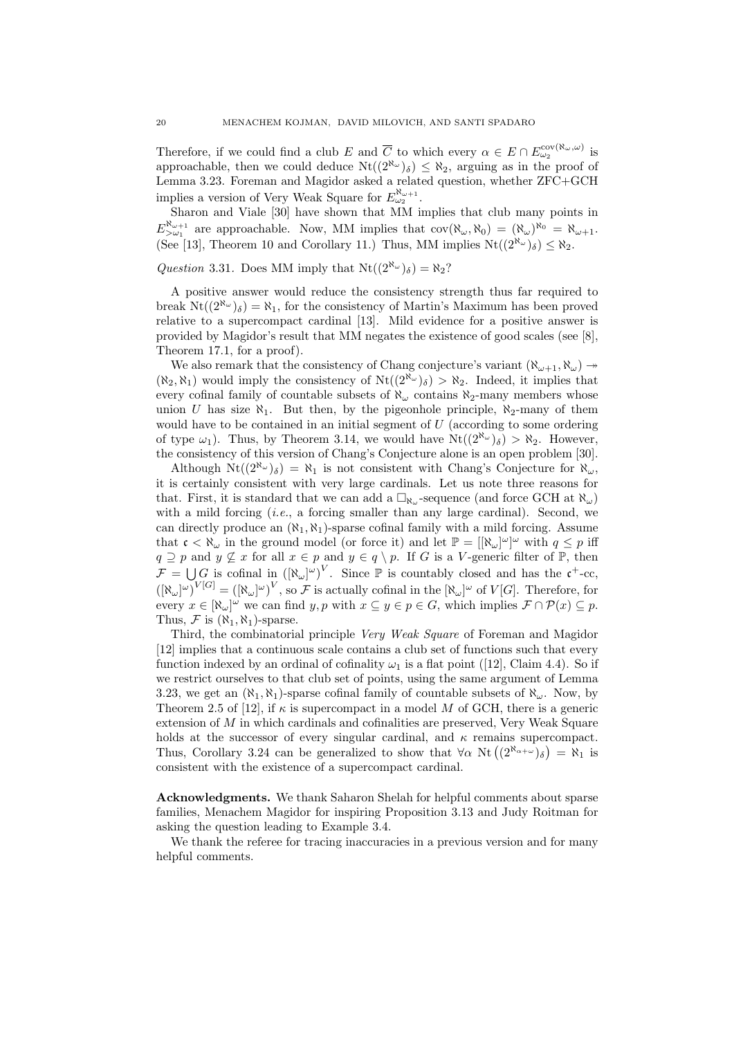Therefore, if we could find a club E and  $\overline{C}$  to which every  $\alpha \in E \cap E_{\omega_2}^{\text{cov}(\aleph_\omega,\omega)}$  is approachable, then we could deduce  $Nt((2^{\aleph_{\omega}})_{\delta}) \leq \aleph_2$ , arguing as in the proof of Lemma 3.23. Foreman and Magidor asked a related question, whether ZFC+GCH implies a version of Very Weak Square for  $E_{\omega_2}^{\aleph_{\omega+1}}$ .

Sharon and Viale [30] have shown that MM implies that club many points in  $E_{>\omega_1}^{\aleph_{\omega+1}}$  are approachable. Now, MM implies that  $cov(\aleph_{\omega}, \aleph_0) = (\aleph_{\omega})^{\aleph_0} = \aleph_{\omega+1}$ . (See [13], Theorem 10 and Corollary 11.) Thus, MM implies  $Nt((2^{\aleph_{\omega}})_{\delta}) \leq \aleph_2$ .

Question 3.31. Does MM imply that  $Nt((2^{\aleph_{\omega}})_{\delta}) = \aleph_2$ ?

A positive answer would reduce the consistency strength thus far required to break  $Nt((2^{\aleph_{\omega}})_{\delta}) = \aleph_1$ , for the consistency of Martin's Maximum has been proved relative to a supercompact cardinal [13]. Mild evidence for a positive answer is provided by Magidor's result that MM negates the existence of good scales (see [8], Theorem 17.1, for a proof).

We also remark that the consistency of Chang conjecture's variant  $(\aleph_{\omega+1}, \aleph_{\omega}) \rightarrow$  $(\aleph_2, \aleph_1)$  would imply the consistency of  $Nt((2^{\aleph_{\omega}})_{\delta}) > \aleph_2$ . Indeed, it implies that every cofinal family of countable subsets of  $\aleph_{\omega}$  contains  $\aleph_2$ -many members whose union U has size  $\aleph_1$ . But then, by the pigeonhole principle,  $\aleph_2$ -many of them would have to be contained in an initial segment of  $U$  (according to some ordering of type  $\omega_1$ ). Thus, by Theorem 3.14, we would have  $Nt((2^{\aleph_{\omega}})_{\delta}) > \aleph_2$ . However, the consistency of this version of Chang's Conjecture alone is an open problem [30].

Although  $Nt((2^{\aleph_{\omega}})_{\delta}) = \aleph_1$  is not consistent with Chang's Conjecture for  $\aleph_{\omega}$ , it is certainly consistent with very large cardinals. Let us note three reasons for that. First, it is standard that we can add a  $\Box_{\aleph_\omega}$ -sequence (and force GCH at  $\aleph_\omega$ ) with a mild forcing  $(i.e., a forcing smaller than any large cardinal)$ . Second, we can directly produce an  $(\aleph_1, \aleph_1)$ -sparse cofinal family with a mild forcing. Assume that  $\mathfrak{c} < \aleph_{\omega}$  in the ground model (or force it) and let  $\mathbb{P} = [[\aleph_{\omega}]^{\omega}]^{\omega}$  with  $q \leq p$  iff  $q \supseteq p$  and  $y \not\subseteq x$  for all  $x \in p$  and  $y \in q \setminus p$ . If G is a V-generic filter of  $\mathbb{P}$ , then  $\mathcal{F} = \bigcup G$  is cofinal in  $([\aleph_{\omega}]^{\omega})^V$ . Since  $\mathbb P$  is countably closed and has the  $\mathfrak{c}^+$ -cc,  $([\aleph_{\omega}]^{\omega})^{V[G]} = ([\aleph_{\omega}]^{\omega})^{V}$ , so F is actually cofinal in the  $[\aleph_{\omega}]^{\omega}$  of  $V[G]$ . Therefore, for every  $x \in [\aleph_\omega]^\omega$  we can find  $y, p$  with  $x \subseteq y \in p \in G$ , which implies  $\mathcal{F} \cap \mathcal{P}(x) \subseteq p$ . Thus, F is  $(\aleph_1, \aleph_1)$ -sparse.

Third, the combinatorial principle Very Weak Square of Foreman and Magidor [12] implies that a continuous scale contains a club set of functions such that every function indexed by an ordinal of cofinality  $\omega_1$  is a flat point ([12], Claim 4.4). So if we restrict ourselves to that club set of points, using the same argument of Lemma 3.23, we get an  $(\aleph_1, \aleph_1)$ -sparse cofinal family of countable subsets of  $\aleph_\omega$ . Now, by Theorem 2.5 of [12], if  $\kappa$  is supercompact in a model M of GCH, there is a generic extension of  $M$  in which cardinals and cofinalities are preserved. Very Weak Square holds at the successor of every singular cardinal, and  $\kappa$  remains supercompact. Thus, Corollary 3.24 can be generalized to show that  $\forall \alpha \ \text{Nt} \left( (2^{\aleph_{\alpha+\omega}})_{\delta} \right) = \aleph_1$  is consistent with the existence of a supercompact cardinal.

Acknowledgments. We thank Saharon Shelah for helpful comments about sparse families, Menachem Magidor for inspiring Proposition 3.13 and Judy Roitman for asking the question leading to Example 3.4.

We thank the referee for tracing inaccuracies in a previous version and for many helpful comments.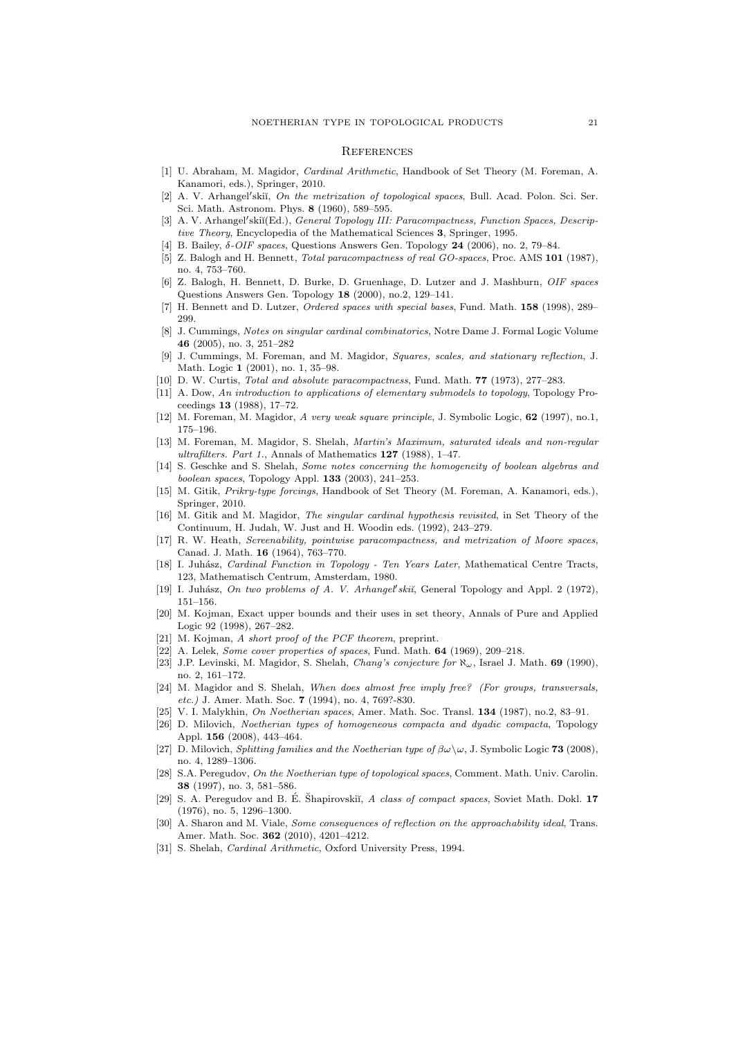#### **REFERENCES**

- [1] U. Abraham, M. Magidor, Cardinal Arithmetic, Handbook of Set Theory (M. Foreman, A. Kanamori, eds.), Springer, 2010.
- [2] A. V. Arhangel'skiĭ, On the metrization of topological spaces, Bull. Acad. Polon. Sci. Ser. Sci. Math. Astronom. Phys. 8 (1960), 589–595.
- [3] A. V. Arhangel'skiĭ(Ed.), General Topology III: Paracompactness, Function Spaces, Descriptive Theory, Encyclopedia of the Mathematical Sciences 3, Springer, 1995.
- [4] B. Bailey,  $\delta$ -*OIF spaces*, Questions Answers Gen. Topology **24** (2006), no. 2, 79–84.
- [5] Z. Balogh and H. Bennett, Total paracompactness of real GO-spaces, Proc. AMS 101 (1987), no. 4, 753–760.
- Z. Balogh, H. Bennett, D. Burke, D. Gruenhage, D. Lutzer and J. Mashburn, OIF spaces Questions Answers Gen. Topology 18 (2000), no.2, 129–141.
- [7] H. Bennett and D. Lutzer, Ordered spaces with special bases, Fund. Math. 158 (1998), 289-299.
- [8] J. Cummings, Notes on singular cardinal combinatorics, Notre Dame J. Formal Logic Volume 46 (2005), no. 3, 251–282
- [9] J. Cummings, M. Foreman, and M. Magidor, Squares, scales, and stationary reflection, J. Math. Logic 1 (2001), no. 1, 35–98.
- [10] D. W. Curtis, Total and absolute paracompactness, Fund. Math. **77** (1973), 277–283.
- [11] A. Dow, An introduction to applications of elementary submodels to topology, Topology Proceedings 13 (1988), 17–72.
- [12] M. Foreman, M. Magidor, A very weak square principle, J. Symbolic Logic, 62 (1997), no.1, 175–196.
- [13] M. Foreman, M. Magidor, S. Shelah, Martin's Maximum, saturated ideals and non-regular ultrafilters. Part 1., Annals of Mathematics 127 (1988), 1–47.
- [14] S. Geschke and S. Shelah, Some notes concerning the homogeneity of boolean algebras and boolean spaces, Topology Appl. 133 (2003), 241–253.
- [15] M. Gitik, Prikry-type forcings, Handbook of Set Theory (M. Foreman, A. Kanamori, eds.), Springer, 2010.
- [16] M. Gitik and M. Magidor, The singular cardinal hypothesis revisited, in Set Theory of the Continuum, H. Judah, W. Just and H. Woodin eds. (1992), 243–279.
- [17] R. W. Heath, Screenability, pointwise paracompactness, and metrization of Moore spaces, Canad. J. Math. 16 (1964), 763–770.
- [18] I. Juhász, Cardinal Function in Topology Ten Years Later, Mathematical Centre Tracts, 123, Mathematisch Centrum, Amsterdam, 1980.
- [19] I. Juhász, On two problems of A. V. Arhangel'skiĭ, General Topology and Appl. 2 (1972), 151–156.
- [20] M. Kojman, Exact upper bounds and their uses in set theory, Annals of Pure and Applied Logic 92 (1998), 267–282.
- [21] M. Kojman, A short proof of the PCF theorem, preprint.
- [22] A. Lelek, Some cover properties of spaces, Fund. Math. 64 (1969), 209-218.
- [23] J.P. Levinski, M. Magidor, S. Shelah, Chang's conjecture for  $\aleph_{\omega}$ , Israel J. Math. 69 (1990), no. 2, 161–172.
- [24] M. Magidor and S. Shelah, When does almost free imply free? (For groups, transversals, etc.) J. Amer. Math. Soc. 7 (1994), no. 4, 769?-830.
- [25] V. I. Malykhin, On Noetherian spaces, Amer. Math. Soc. Transl. 134 (1987), no.2, 83–91.
- [26] D. Milovich, Noetherian types of homogeneous compacta and dyadic compacta, Topology Appl. 156 (2008), 443–464.
- [27] D. Milovich, Splitting families and the Noetherian type of  $\beta\omega\setminus\omega$ , J. Symbolic Logic **73** (2008), no. 4, 1289–1306.
- [28] S.A. Peregudov, On the Noetherian type of topological spaces, Comment. Math. Univ. Carolin. 38 (1997), no. 3, 581–586.
- [29] S. A. Peregudov and B. E. Shapirovskiı̆, A class of compact spaces, Soviet Math. Dokl. 17 (1976), no. 5, 1296–1300.
- [30] A. Sharon and M. Viale, Some consequences of reflection on the approachability ideal, Trans. Amer. Math. Soc. 362 (2010), 4201–4212.
- [31] S. Shelah, *Cardinal Arithmetic*, Oxford University Press, 1994.